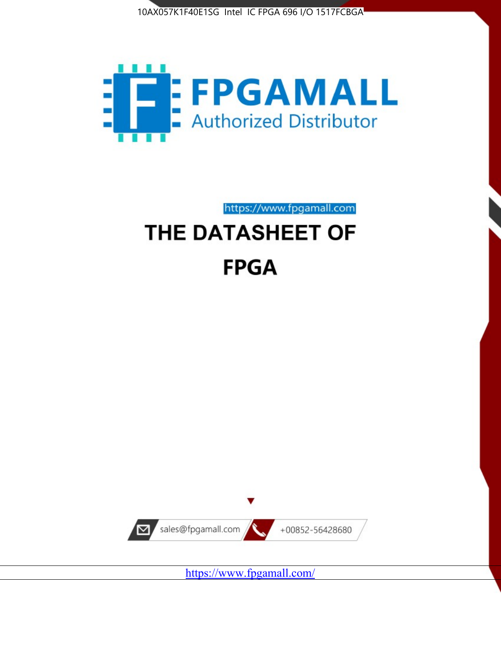



https://www.fpgamall.com

# THE DATASHEET OF **FPGA**



<https://www.fpgamall.com/>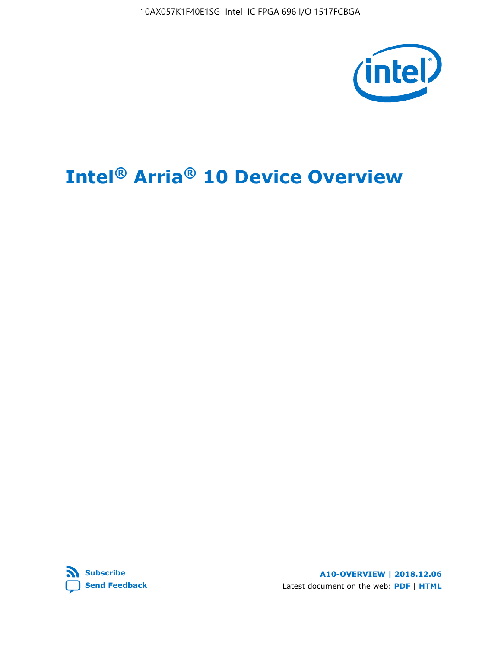10AX057K1F40E1SG Intel IC FPGA 696 I/O 1517FCBGA



# **Intel® Arria® 10 Device Overview**



**A10-OVERVIEW | 2018.12.06** Latest document on the web: **[PDF](https://www.intel.com/content/dam/www/programmable/us/en/pdfs/literature/hb/arria-10/a10_overview.pdf)** | **[HTML](https://www.intel.com/content/www/us/en/programmable/documentation/sam1403480274650.html)**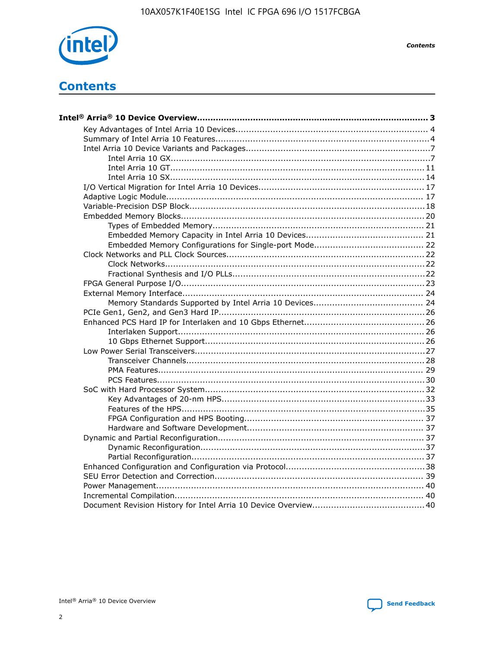

**Contents** 

# **Contents**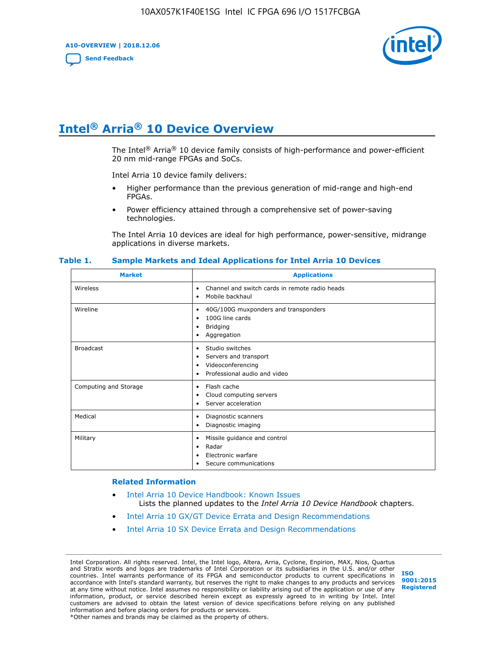**A10-OVERVIEW | 2018.12.06**

**[Send Feedback](mailto:FPGAtechdocfeedback@intel.com?subject=Feedback%20on%20Intel%20Arria%2010%20Device%20Overview%20(A10-OVERVIEW%202018.12.06)&body=We%20appreciate%20your%20feedback.%20In%20your%20comments,%20also%20specify%20the%20page%20number%20or%20paragraph.%20Thank%20you.)**



# **Intel® Arria® 10 Device Overview**

The Intel<sup>®</sup> Arria<sup>®</sup> 10 device family consists of high-performance and power-efficient 20 nm mid-range FPGAs and SoCs.

Intel Arria 10 device family delivers:

- Higher performance than the previous generation of mid-range and high-end FPGAs.
- Power efficiency attained through a comprehensive set of power-saving technologies.

The Intel Arria 10 devices are ideal for high performance, power-sensitive, midrange applications in diverse markets.

| <b>Market</b>         | <b>Applications</b>                                                                                               |
|-----------------------|-------------------------------------------------------------------------------------------------------------------|
| Wireless              | Channel and switch cards in remote radio heads<br>٠<br>Mobile backhaul<br>٠                                       |
| Wireline              | 40G/100G muxponders and transponders<br>٠<br>100G line cards<br>٠<br><b>Bridging</b><br>٠<br>Aggregation<br>٠     |
| <b>Broadcast</b>      | Studio switches<br>٠<br>Servers and transport<br>٠<br>Videoconferencing<br>٠<br>Professional audio and video<br>٠ |
| Computing and Storage | Flash cache<br>٠<br>Cloud computing servers<br>٠<br>Server acceleration<br>٠                                      |
| Medical               | Diagnostic scanners<br>٠<br>Diagnostic imaging<br>٠                                                               |
| Military              | Missile guidance and control<br>٠<br>Radar<br>٠<br>Electronic warfare<br>٠<br>Secure communications<br>٠          |

#### **Table 1. Sample Markets and Ideal Applications for Intel Arria 10 Devices**

#### **Related Information**

- [Intel Arria 10 Device Handbook: Known Issues](http://www.altera.com/support/kdb/solutions/rd07302013_646.html) Lists the planned updates to the *Intel Arria 10 Device Handbook* chapters.
- [Intel Arria 10 GX/GT Device Errata and Design Recommendations](https://www.intel.com/content/www/us/en/programmable/documentation/agz1493851706374.html#yqz1494433888646)
- [Intel Arria 10 SX Device Errata and Design Recommendations](https://www.intel.com/content/www/us/en/programmable/documentation/cru1462832385668.html#cru1462832558642)

Intel Corporation. All rights reserved. Intel, the Intel logo, Altera, Arria, Cyclone, Enpirion, MAX, Nios, Quartus and Stratix words and logos are trademarks of Intel Corporation or its subsidiaries in the U.S. and/or other countries. Intel warrants performance of its FPGA and semiconductor products to current specifications in accordance with Intel's standard warranty, but reserves the right to make changes to any products and services at any time without notice. Intel assumes no responsibility or liability arising out of the application or use of any information, product, or service described herein except as expressly agreed to in writing by Intel. Intel customers are advised to obtain the latest version of device specifications before relying on any published information and before placing orders for products or services. \*Other names and brands may be claimed as the property of others.

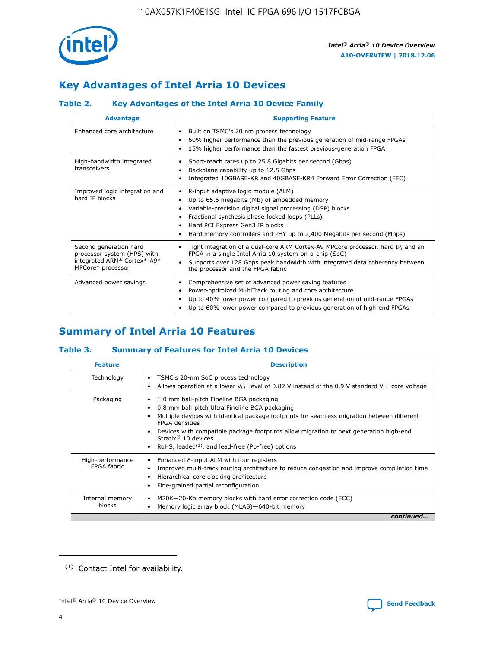

# **Key Advantages of Intel Arria 10 Devices**

# **Table 2. Key Advantages of the Intel Arria 10 Device Family**

| <b>Advantage</b>                                                                                          | <b>Supporting Feature</b>                                                                                                                                                                                                                                                                                                |  |  |  |  |  |  |
|-----------------------------------------------------------------------------------------------------------|--------------------------------------------------------------------------------------------------------------------------------------------------------------------------------------------------------------------------------------------------------------------------------------------------------------------------|--|--|--|--|--|--|
| Enhanced core architecture                                                                                | Built on TSMC's 20 nm process technology<br>٠<br>60% higher performance than the previous generation of mid-range FPGAs<br>٠<br>15% higher performance than the fastest previous-generation FPGA<br>٠                                                                                                                    |  |  |  |  |  |  |
| High-bandwidth integrated<br>transceivers                                                                 | Short-reach rates up to 25.8 Gigabits per second (Gbps)<br>٠<br>Backplane capability up to 12.5 Gbps<br>٠<br>Integrated 10GBASE-KR and 40GBASE-KR4 Forward Error Correction (FEC)<br>٠                                                                                                                                   |  |  |  |  |  |  |
| Improved logic integration and<br>hard IP blocks                                                          | 8-input adaptive logic module (ALM)<br>٠<br>Up to 65.6 megabits (Mb) of embedded memory<br>٠<br>Variable-precision digital signal processing (DSP) blocks<br>Fractional synthesis phase-locked loops (PLLs)<br>Hard PCI Express Gen3 IP blocks<br>Hard memory controllers and PHY up to 2,400 Megabits per second (Mbps) |  |  |  |  |  |  |
| Second generation hard<br>processor system (HPS) with<br>integrated ARM* Cortex*-A9*<br>MPCore* processor | Tight integration of a dual-core ARM Cortex-A9 MPCore processor, hard IP, and an<br>٠<br>FPGA in a single Intel Arria 10 system-on-a-chip (SoC)<br>Supports over 128 Gbps peak bandwidth with integrated data coherency between<br>$\bullet$<br>the processor and the FPGA fabric                                        |  |  |  |  |  |  |
| Advanced power savings                                                                                    | Comprehensive set of advanced power saving features<br>٠<br>Power-optimized MultiTrack routing and core architecture<br>٠<br>Up to 40% lower power compared to previous generation of mid-range FPGAs<br>Up to 60% lower power compared to previous generation of high-end FPGAs                                         |  |  |  |  |  |  |

# **Summary of Intel Arria 10 Features**

## **Table 3. Summary of Features for Intel Arria 10 Devices**

| <b>Feature</b>                  | <b>Description</b>                                                                                                                                                                                                                                                                                                                                                                                       |
|---------------------------------|----------------------------------------------------------------------------------------------------------------------------------------------------------------------------------------------------------------------------------------------------------------------------------------------------------------------------------------------------------------------------------------------------------|
| Technology                      | TSMC's 20-nm SoC process technology<br>٠<br>Allows operation at a lower $V_{\text{CC}}$ level of 0.82 V instead of the 0.9 V standard $V_{\text{CC}}$ core voltage                                                                                                                                                                                                                                       |
| Packaging                       | 1.0 mm ball-pitch Fineline BGA packaging<br>0.8 mm ball-pitch Ultra Fineline BGA packaging<br>Multiple devices with identical package footprints for seamless migration between different<br><b>FPGA</b> densities<br>Devices with compatible package footprints allow migration to next generation high-end<br>Stratix $\mathcal{R}$ 10 devices<br>RoHS, leaded $(1)$ , and lead-free (Pb-free) options |
| High-performance<br>FPGA fabric | Enhanced 8-input ALM with four registers<br>٠<br>Improved multi-track routing architecture to reduce congestion and improve compilation time<br>Hierarchical core clocking architecture<br>Fine-grained partial reconfiguration                                                                                                                                                                          |
| Internal memory<br>blocks       | M20K-20-Kb memory blocks with hard error correction code (ECC)<br>Memory logic array block (MLAB)-640-bit memory                                                                                                                                                                                                                                                                                         |
|                                 | continued                                                                                                                                                                                                                                                                                                                                                                                                |



<sup>(1)</sup> Contact Intel for availability.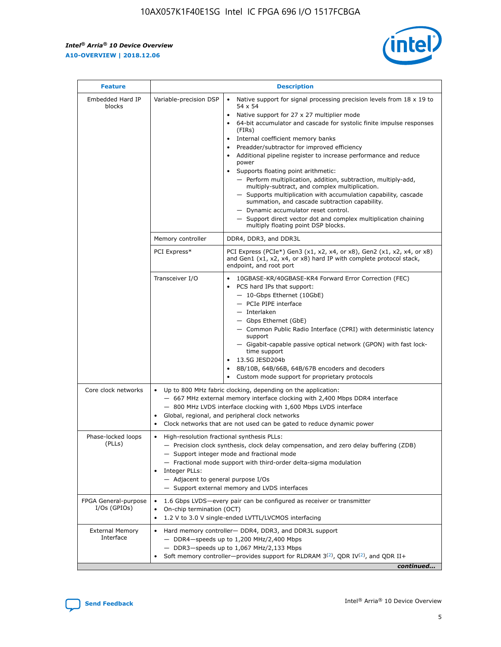r



| <b>Feature</b>                         | <b>Description</b>                                                                                             |                                                                                                                                                                                                                                                                                                                                                                                                                                                                                                                                                                                                                                                                                                                                                                                                                                                                  |  |  |  |  |  |
|----------------------------------------|----------------------------------------------------------------------------------------------------------------|------------------------------------------------------------------------------------------------------------------------------------------------------------------------------------------------------------------------------------------------------------------------------------------------------------------------------------------------------------------------------------------------------------------------------------------------------------------------------------------------------------------------------------------------------------------------------------------------------------------------------------------------------------------------------------------------------------------------------------------------------------------------------------------------------------------------------------------------------------------|--|--|--|--|--|
| Embedded Hard IP<br>blocks             | Variable-precision DSP                                                                                         | Native support for signal processing precision levels from $18 \times 19$ to<br>$\bullet$<br>54 x 54<br>Native support for 27 x 27 multiplier mode<br>$\bullet$<br>64-bit accumulator and cascade for systolic finite impulse responses<br>(FIRs)<br>Internal coefficient memory banks<br>$\bullet$<br>Preadder/subtractor for improved efficiency<br>Additional pipeline register to increase performance and reduce<br>power<br>Supports floating point arithmetic:<br>- Perform multiplication, addition, subtraction, multiply-add,<br>multiply-subtract, and complex multiplication.<br>- Supports multiplication with accumulation capability, cascade<br>summation, and cascade subtraction capability.<br>- Dynamic accumulator reset control.<br>- Support direct vector dot and complex multiplication chaining<br>multiply floating point DSP blocks. |  |  |  |  |  |
|                                        | Memory controller                                                                                              | DDR4, DDR3, and DDR3L                                                                                                                                                                                                                                                                                                                                                                                                                                                                                                                                                                                                                                                                                                                                                                                                                                            |  |  |  |  |  |
|                                        | PCI Express*                                                                                                   | PCI Express (PCIe*) Gen3 (x1, x2, x4, or x8), Gen2 (x1, x2, x4, or x8)<br>and Gen1 (x1, x2, x4, or x8) hard IP with complete protocol stack,<br>endpoint, and root port                                                                                                                                                                                                                                                                                                                                                                                                                                                                                                                                                                                                                                                                                          |  |  |  |  |  |
|                                        | Transceiver I/O                                                                                                | 10GBASE-KR/40GBASE-KR4 Forward Error Correction (FEC)<br>PCS hard IPs that support:<br>- 10-Gbps Ethernet (10GbE)<br>- PCIe PIPE interface<br>- Interlaken<br>- Gbps Ethernet (GbE)<br>- Common Public Radio Interface (CPRI) with deterministic latency<br>support<br>- Gigabit-capable passive optical network (GPON) with fast lock-<br>time support<br>13.5G JESD204b<br>$\bullet$<br>8B/10B, 64B/66B, 64B/67B encoders and decoders<br>Custom mode support for proprietary protocols                                                                                                                                                                                                                                                                                                                                                                        |  |  |  |  |  |
| Core clock networks                    | $\bullet$                                                                                                      | Up to 800 MHz fabric clocking, depending on the application:<br>- 667 MHz external memory interface clocking with 2,400 Mbps DDR4 interface<br>- 800 MHz LVDS interface clocking with 1,600 Mbps LVDS interface<br>Global, regional, and peripheral clock networks<br>Clock networks that are not used can be gated to reduce dynamic power                                                                                                                                                                                                                                                                                                                                                                                                                                                                                                                      |  |  |  |  |  |
| Phase-locked loops<br>(PLLs)           | High-resolution fractional synthesis PLLs:<br>$\bullet$<br>Integer PLLs:<br>- Adjacent to general purpose I/Os | - Precision clock synthesis, clock delay compensation, and zero delay buffering (ZDB)<br>- Support integer mode and fractional mode<br>- Fractional mode support with third-order delta-sigma modulation<br>- Support external memory and LVDS interfaces                                                                                                                                                                                                                                                                                                                                                                                                                                                                                                                                                                                                        |  |  |  |  |  |
| FPGA General-purpose<br>$I/Os$ (GPIOs) | On-chip termination (OCT)<br>٠<br>$\bullet$                                                                    | 1.6 Gbps LVDS-every pair can be configured as receiver or transmitter<br>1.2 V to 3.0 V single-ended LVTTL/LVCMOS interfacing                                                                                                                                                                                                                                                                                                                                                                                                                                                                                                                                                                                                                                                                                                                                    |  |  |  |  |  |
| <b>External Memory</b><br>Interface    | $\bullet$                                                                                                      | Hard memory controller- DDR4, DDR3, and DDR3L support<br>$-$ DDR4-speeds up to 1,200 MHz/2,400 Mbps<br>- DDR3-speeds up to 1,067 MHz/2,133 Mbps<br>Soft memory controller—provides support for RLDRAM $3^{(2)}$ , QDR IV $^{(2)}$ , and QDR II+<br>continued                                                                                                                                                                                                                                                                                                                                                                                                                                                                                                                                                                                                     |  |  |  |  |  |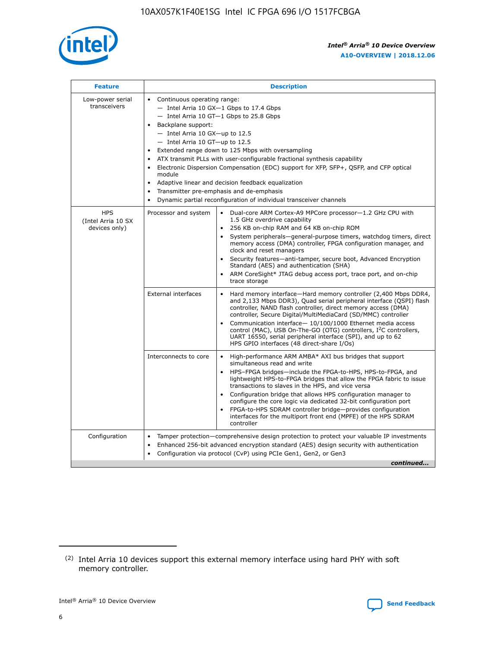

| <b>Feature</b>                                    | <b>Description</b>                                                                                                                                                                                                                                                                                                                                                                                                                                                                                                                                                                                                                         |
|---------------------------------------------------|--------------------------------------------------------------------------------------------------------------------------------------------------------------------------------------------------------------------------------------------------------------------------------------------------------------------------------------------------------------------------------------------------------------------------------------------------------------------------------------------------------------------------------------------------------------------------------------------------------------------------------------------|
| Low-power serial<br>transceivers                  | • Continuous operating range:<br>- Intel Arria 10 GX-1 Gbps to 17.4 Gbps<br>- Intel Arria 10 GT-1 Gbps to 25.8 Gbps<br>Backplane support:<br>$-$ Intel Arria 10 GX-up to 12.5<br>- Intel Arria 10 GT-up to 12.5<br>Extended range down to 125 Mbps with oversampling<br>ATX transmit PLLs with user-configurable fractional synthesis capability<br>Electronic Dispersion Compensation (EDC) support for XFP, SFP+, QSFP, and CFP optical<br>module<br>• Adaptive linear and decision feedback equalization<br>Transmitter pre-emphasis and de-emphasis<br>$\bullet$<br>Dynamic partial reconfiguration of individual transceiver channels |
| <b>HPS</b><br>(Intel Arria 10 SX<br>devices only) | Dual-core ARM Cortex-A9 MPCore processor-1.2 GHz CPU with<br>Processor and system<br>$\bullet$<br>1.5 GHz overdrive capability<br>256 KB on-chip RAM and 64 KB on-chip ROM<br>System peripherals-general-purpose timers, watchdog timers, direct<br>memory access (DMA) controller, FPGA configuration manager, and<br>clock and reset managers<br>Security features-anti-tamper, secure boot, Advanced Encryption<br>$\bullet$<br>Standard (AES) and authentication (SHA)<br>ARM CoreSight* JTAG debug access port, trace port, and on-chip<br>trace storage                                                                              |
|                                                   | <b>External interfaces</b><br>Hard memory interface-Hard memory controller (2,400 Mbps DDR4,<br>$\bullet$<br>and 2,133 Mbps DDR3), Quad serial peripheral interface (QSPI) flash<br>controller, NAND flash controller, direct memory access (DMA)<br>controller, Secure Digital/MultiMediaCard (SD/MMC) controller<br>Communication interface-10/100/1000 Ethernet media access<br>$\bullet$<br>control (MAC), USB On-The-GO (OTG) controllers, I <sup>2</sup> C controllers,<br>UART 16550, serial peripheral interface (SPI), and up to 62<br>HPS GPIO interfaces (48 direct-share I/Os)                                                 |
|                                                   | High-performance ARM AMBA* AXI bus bridges that support<br>Interconnects to core<br>$\bullet$<br>simultaneous read and write<br>HPS-FPGA bridges-include the FPGA-to-HPS, HPS-to-FPGA, and<br>$\bullet$<br>lightweight HPS-to-FPGA bridges that allow the FPGA fabric to issue<br>transactions to slaves in the HPS, and vice versa<br>Configuration bridge that allows HPS configuration manager to<br>configure the core logic via dedicated 32-bit configuration port<br>FPGA-to-HPS SDRAM controller bridge-provides configuration<br>interfaces for the multiport front end (MPFE) of the HPS SDRAM<br>controller                     |
| Configuration                                     | Tamper protection—comprehensive design protection to protect your valuable IP investments<br>Enhanced 256-bit advanced encryption standard (AES) design security with authentication<br>٠<br>Configuration via protocol (CvP) using PCIe Gen1, Gen2, or Gen3<br>continued                                                                                                                                                                                                                                                                                                                                                                  |

<sup>(2)</sup> Intel Arria 10 devices support this external memory interface using hard PHY with soft memory controller.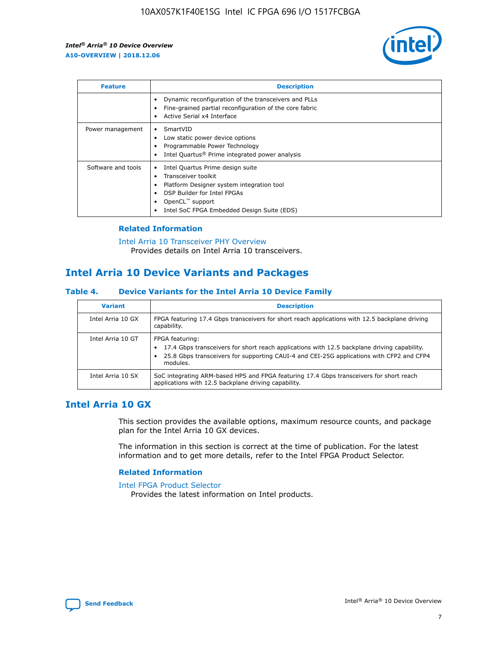

| <b>Feature</b>     | <b>Description</b>                                                                                                                                                                                               |
|--------------------|------------------------------------------------------------------------------------------------------------------------------------------------------------------------------------------------------------------|
|                    | Dynamic reconfiguration of the transceivers and PLLs<br>Fine-grained partial reconfiguration of the core fabric<br>Active Serial x4 Interface<br>$\bullet$                                                       |
| Power management   | SmartVID<br>$\bullet$<br>Low static power device options<br>Programmable Power Technology<br>Intel Quartus <sup>®</sup> Prime integrated power analysis                                                          |
| Software and tools | Intel Quartus Prime design suite<br>Transceiver toolkit<br>Platform Designer system integration tool<br>DSP Builder for Intel FPGAs<br>OpenCL <sup>™</sup> support<br>Intel SoC FPGA Embedded Design Suite (EDS) |

## **Related Information**

[Intel Arria 10 Transceiver PHY Overview](https://www.intel.com/content/www/us/en/programmable/documentation/nik1398707230472.html#nik1398706768037) Provides details on Intel Arria 10 transceivers.

# **Intel Arria 10 Device Variants and Packages**

#### **Table 4. Device Variants for the Intel Arria 10 Device Family**

| <b>Variant</b>    | <b>Description</b>                                                                                                                                                                                                     |
|-------------------|------------------------------------------------------------------------------------------------------------------------------------------------------------------------------------------------------------------------|
| Intel Arria 10 GX | FPGA featuring 17.4 Gbps transceivers for short reach applications with 12.5 backplane driving<br>capability.                                                                                                          |
| Intel Arria 10 GT | FPGA featuring:<br>17.4 Gbps transceivers for short reach applications with 12.5 backplane driving capability.<br>25.8 Gbps transceivers for supporting CAUI-4 and CEI-25G applications with CFP2 and CFP4<br>modules. |
| Intel Arria 10 SX | SoC integrating ARM-based HPS and FPGA featuring 17.4 Gbps transceivers for short reach<br>applications with 12.5 backplane driving capability.                                                                        |

# **Intel Arria 10 GX**

This section provides the available options, maximum resource counts, and package plan for the Intel Arria 10 GX devices.

The information in this section is correct at the time of publication. For the latest information and to get more details, refer to the Intel FPGA Product Selector.

## **Related Information**

#### [Intel FPGA Product Selector](http://www.altera.com/products/selector/psg-selector.html) Provides the latest information on Intel products.

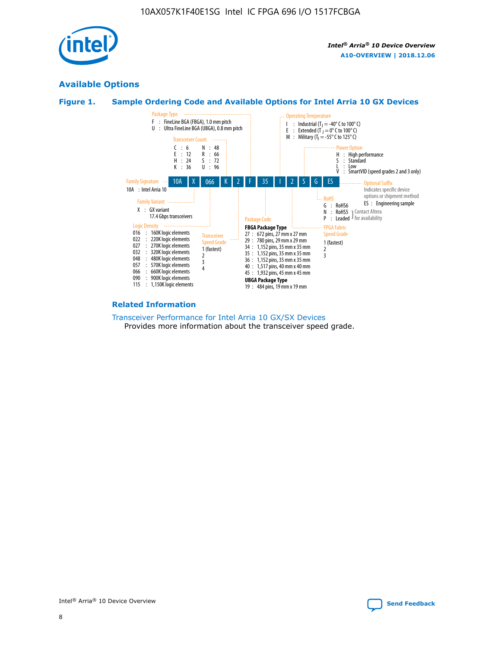

# **Available Options**

## **Figure 1. Sample Ordering Code and Available Options for Intel Arria 10 GX Devices**



#### **Related Information**

#### [Transceiver Performance for Intel Arria 10 GX/SX Devices](https://www.intel.com/content/www/us/en/programmable/documentation/mcn1413182292568.html#mcn1413213965502) Provides more information about the transceiver speed grade.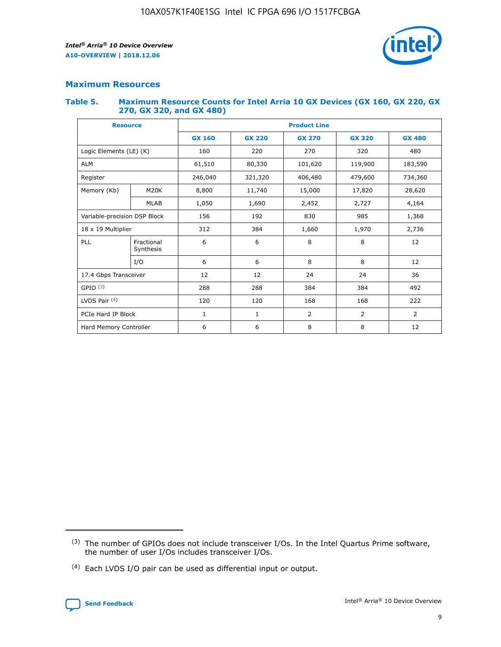

## **Maximum Resources**

#### **Table 5. Maximum Resource Counts for Intel Arria 10 GX Devices (GX 160, GX 220, GX 270, GX 320, and GX 480)**

| <b>Resource</b>         |                                                          | <b>Product Line</b> |                                                 |                |                |               |  |  |
|-------------------------|----------------------------------------------------------|---------------------|-------------------------------------------------|----------------|----------------|---------------|--|--|
|                         |                                                          | <b>GX 160</b>       | <b>GX 220</b><br><b>GX 270</b><br><b>GX 320</b> |                |                | <b>GX 480</b> |  |  |
| Logic Elements (LE) (K) |                                                          | 160                 | 220                                             | 270            | 320            | 480           |  |  |
| <b>ALM</b>              |                                                          | 61,510              | 80,330                                          | 101,620        | 119,900        | 183,590       |  |  |
| Register                |                                                          | 246,040             | 321,320                                         | 406,480        | 479,600        | 734,360       |  |  |
| Memory (Kb)             | M <sub>20</sub> K                                        | 8,800               | 11,740                                          | 15,000         | 17,820         | 28,620        |  |  |
| <b>MLAB</b>             |                                                          | 1,050               | 1,690                                           | 2,452          | 2,727          | 4,164         |  |  |
|                         | Variable-precision DSP Block<br>192<br>830<br>985<br>156 |                     |                                                 |                | 1,368          |               |  |  |
| 18 x 19 Multiplier      |                                                          | 312                 | 384                                             | 1,660          | 1,970          | 2,736         |  |  |
| PLL                     | Fractional<br>Synthesis                                  | 6                   | 6                                               | 8              | 8              | 12            |  |  |
|                         | I/O                                                      | 6                   | 6                                               | 8              | 8              | 12            |  |  |
| 17.4 Gbps Transceiver   |                                                          | 12                  | 12                                              | 24<br>24       |                | 36            |  |  |
| GPIO <sup>(3)</sup>     |                                                          | 288                 | 288<br>384<br>384                               |                |                | 492           |  |  |
| LVDS Pair $(4)$         |                                                          | 120                 | 120                                             | 168            | 168            | 222           |  |  |
| PCIe Hard IP Block      |                                                          | 1                   | 1                                               | $\overline{2}$ | $\overline{2}$ | 2             |  |  |
| Hard Memory Controller  |                                                          | 6                   | 6                                               | 8              | 8              | 12            |  |  |

<sup>(4)</sup> Each LVDS I/O pair can be used as differential input or output.



<sup>(3)</sup> The number of GPIOs does not include transceiver I/Os. In the Intel Quartus Prime software, the number of user I/Os includes transceiver I/Os.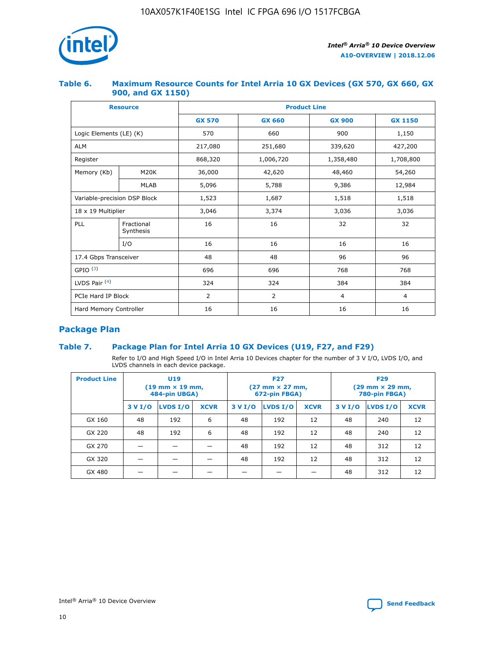

## **Table 6. Maximum Resource Counts for Intel Arria 10 GX Devices (GX 570, GX 660, GX 900, and GX 1150)**

|                              | <b>Resource</b>         | <b>Product Line</b> |                |                |                |  |  |  |
|------------------------------|-------------------------|---------------------|----------------|----------------|----------------|--|--|--|
|                              |                         | <b>GX 570</b>       | <b>GX 660</b>  | <b>GX 900</b>  | <b>GX 1150</b> |  |  |  |
| Logic Elements (LE) (K)      |                         | 570                 | 660            | 900            | 1,150          |  |  |  |
| <b>ALM</b>                   |                         | 217,080             | 251,680        | 339,620        | 427,200        |  |  |  |
| Register                     |                         | 868,320             | 1,006,720      | 1,358,480      | 1,708,800      |  |  |  |
| Memory (Kb)                  | <b>M20K</b>             | 36,000              | 42,620         | 48,460         | 54,260         |  |  |  |
|                              | <b>MLAB</b>             | 5,096               | 5,788          | 9,386          | 12,984         |  |  |  |
| Variable-precision DSP Block |                         | 1,523               | 1,687          | 1,518          | 1,518          |  |  |  |
| $18 \times 19$ Multiplier    |                         | 3,046               | 3,374          | 3,036          | 3,036          |  |  |  |
| PLL                          | Fractional<br>Synthesis | 16                  | 16             | 32             | 32             |  |  |  |
|                              | I/O                     | 16                  | 16             | 16             | 16             |  |  |  |
| 17.4 Gbps Transceiver        |                         | 48                  | 48             | 96             | 96             |  |  |  |
| GPIO <sup>(3)</sup>          |                         | 696                 | 696            | 768            | 768            |  |  |  |
| LVDS Pair $(4)$              |                         | 324                 | 324            | 384            | 384            |  |  |  |
| PCIe Hard IP Block           |                         | 2                   | $\overline{2}$ | $\overline{4}$ | 4              |  |  |  |
| Hard Memory Controller       |                         | 16                  | 16             | 16             | 16             |  |  |  |

# **Package Plan**

# **Table 7. Package Plan for Intel Arria 10 GX Devices (U19, F27, and F29)**

Refer to I/O and High Speed I/O in Intel Arria 10 Devices chapter for the number of 3 V I/O, LVDS I/O, and LVDS channels in each device package.

| <b>Product Line</b> | U <sub>19</sub><br>$(19 \text{ mm} \times 19 \text{ mm})$<br>484-pin UBGA) |          |             |         | <b>F27</b><br>(27 mm × 27 mm,<br>672-pin FBGA) |             | <b>F29</b><br>(29 mm × 29 mm,<br>780-pin FBGA) |          |             |  |
|---------------------|----------------------------------------------------------------------------|----------|-------------|---------|------------------------------------------------|-------------|------------------------------------------------|----------|-------------|--|
|                     | 3 V I/O                                                                    | LVDS I/O | <b>XCVR</b> | 3 V I/O | LVDS I/O                                       | <b>XCVR</b> | 3 V I/O                                        | LVDS I/O | <b>XCVR</b> |  |
| GX 160              | 48                                                                         | 192      | 6           | 48      | 192                                            | 12          | 48                                             | 240      | 12          |  |
| GX 220              | 48                                                                         | 192      | 6           | 48      | 192                                            | 12          | 48                                             | 240      | 12          |  |
| GX 270              |                                                                            |          |             | 48      | 192                                            | 12          | 48                                             | 312      | 12          |  |
| GX 320              |                                                                            |          |             | 48      | 192                                            | 12          | 48                                             | 312      | 12          |  |
| GX 480              |                                                                            |          |             |         |                                                |             | 48                                             | 312      | 12          |  |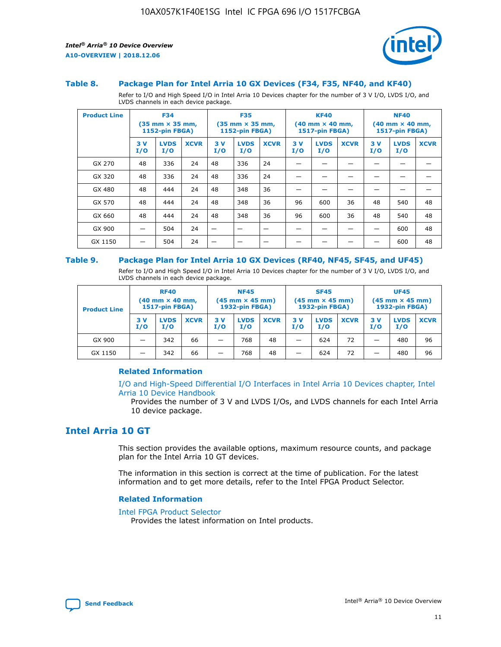

#### **Table 8. Package Plan for Intel Arria 10 GX Devices (F34, F35, NF40, and KF40)**

Refer to I/O and High Speed I/O in Intel Arria 10 Devices chapter for the number of 3 V I/O, LVDS I/O, and LVDS channels in each device package.

| <b>Product Line</b> | <b>F34</b><br>$(35 \text{ mm} \times 35 \text{ mm})$<br>1152-pin FBGA) |                    | <b>F35</b><br>$(35 \text{ mm} \times 35 \text{ mm})$<br><b>1152-pin FBGA)</b> |           | <b>KF40</b><br>$(40$ mm $\times$ 40 mm,<br>1517-pin FBGA) |             |           | <b>NF40</b><br>$(40$ mm $\times$ 40 mm,<br><b>1517-pin FBGA)</b> |             |            |                    |             |
|---------------------|------------------------------------------------------------------------|--------------------|-------------------------------------------------------------------------------|-----------|-----------------------------------------------------------|-------------|-----------|------------------------------------------------------------------|-------------|------------|--------------------|-------------|
|                     | 3V<br>I/O                                                              | <b>LVDS</b><br>I/O | <b>XCVR</b>                                                                   | 3V<br>I/O | <b>LVDS</b><br>I/O                                        | <b>XCVR</b> | 3V<br>I/O | <b>LVDS</b><br>I/O                                               | <b>XCVR</b> | 3 V<br>I/O | <b>LVDS</b><br>I/O | <b>XCVR</b> |
| GX 270              | 48                                                                     | 336                | 24                                                                            | 48        | 336                                                       | 24          |           |                                                                  |             |            |                    |             |
| GX 320              | 48                                                                     | 336                | 24                                                                            | 48        | 336                                                       | 24          |           |                                                                  |             |            |                    |             |
| GX 480              | 48                                                                     | 444                | 24                                                                            | 48        | 348                                                       | 36          |           |                                                                  |             |            |                    |             |
| GX 570              | 48                                                                     | 444                | 24                                                                            | 48        | 348                                                       | 36          | 96        | 600                                                              | 36          | 48         | 540                | 48          |
| GX 660              | 48                                                                     | 444                | 24                                                                            | 48        | 348                                                       | 36          | 96        | 600                                                              | 36          | 48         | 540                | 48          |
| GX 900              |                                                                        | 504                | 24                                                                            | -         |                                                           |             |           |                                                                  |             |            | 600                | 48          |
| GX 1150             |                                                                        | 504                | 24                                                                            |           |                                                           |             |           |                                                                  |             |            | 600                | 48          |

#### **Table 9. Package Plan for Intel Arria 10 GX Devices (RF40, NF45, SF45, and UF45)**

Refer to I/O and High Speed I/O in Intel Arria 10 Devices chapter for the number of 3 V I/O, LVDS I/O, and LVDS channels in each device package.

| <b>Product Line</b> | <b>RF40</b><br>$(40$ mm $\times$ 40 mm,<br>1517-pin FBGA) |                    | <b>NF45</b><br>$(45 \text{ mm} \times 45 \text{ mm})$<br><b>1932-pin FBGA)</b> |            |                    | <b>SF45</b><br>$(45 \text{ mm} \times 45 \text{ mm})$<br><b>1932-pin FBGA)</b> |            |                    | <b>UF45</b><br>$(45 \text{ mm} \times 45 \text{ mm})$<br><b>1932-pin FBGA)</b> |           |                    |             |
|---------------------|-----------------------------------------------------------|--------------------|--------------------------------------------------------------------------------|------------|--------------------|--------------------------------------------------------------------------------|------------|--------------------|--------------------------------------------------------------------------------|-----------|--------------------|-------------|
|                     | 3V<br>I/O                                                 | <b>LVDS</b><br>I/O | <b>XCVR</b>                                                                    | 3 V<br>I/O | <b>LVDS</b><br>I/O | <b>XCVR</b>                                                                    | 3 V<br>I/O | <b>LVDS</b><br>I/O | <b>XCVR</b>                                                                    | 3V<br>I/O | <b>LVDS</b><br>I/O | <b>XCVR</b> |
| GX 900              |                                                           | 342                | 66                                                                             | _          | 768                | 48                                                                             |            | 624                | 72                                                                             |           | 480                | 96          |
| GX 1150             |                                                           | 342                | 66                                                                             | _          | 768                | 48                                                                             |            | 624                | 72                                                                             |           | 480                | 96          |

## **Related Information**

[I/O and High-Speed Differential I/O Interfaces in Intel Arria 10 Devices chapter, Intel](https://www.intel.com/content/www/us/en/programmable/documentation/sam1403482614086.html#sam1403482030321) [Arria 10 Device Handbook](https://www.intel.com/content/www/us/en/programmable/documentation/sam1403482614086.html#sam1403482030321)

Provides the number of 3 V and LVDS I/Os, and LVDS channels for each Intel Arria 10 device package.

# **Intel Arria 10 GT**

This section provides the available options, maximum resource counts, and package plan for the Intel Arria 10 GT devices.

The information in this section is correct at the time of publication. For the latest information and to get more details, refer to the Intel FPGA Product Selector.

## **Related Information**

#### [Intel FPGA Product Selector](http://www.altera.com/products/selector/psg-selector.html)

Provides the latest information on Intel products.

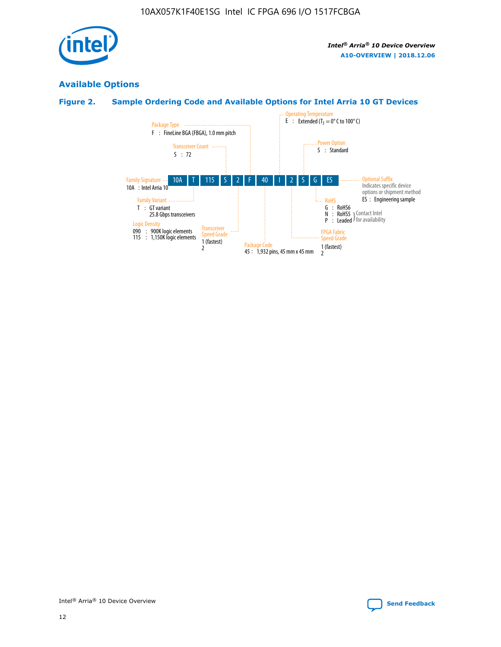

# **Available Options**

# **Figure 2. Sample Ordering Code and Available Options for Intel Arria 10 GT Devices**

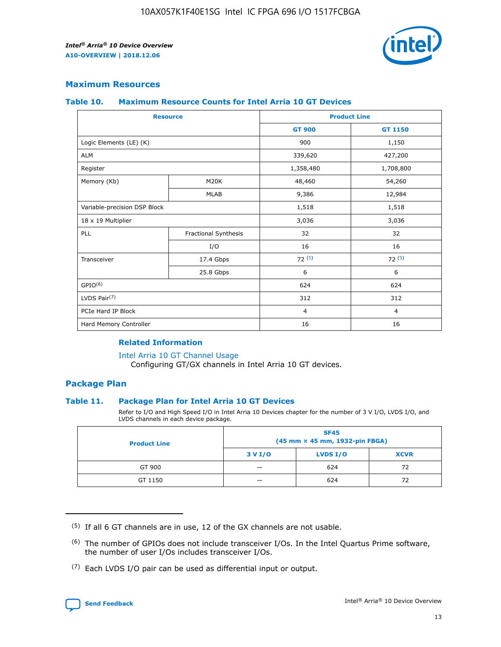

## **Maximum Resources**

#### **Table 10. Maximum Resource Counts for Intel Arria 10 GT Devices**

| <b>Resource</b>              |                      |                | <b>Product Line</b> |  |
|------------------------------|----------------------|----------------|---------------------|--|
|                              |                      | <b>GT 900</b>  | GT 1150             |  |
| Logic Elements (LE) (K)      |                      | 900            | 1,150               |  |
| <b>ALM</b>                   |                      | 339,620        | 427,200             |  |
| Register                     |                      | 1,358,480      | 1,708,800           |  |
| Memory (Kb)                  | M <sub>20</sub> K    | 48,460         | 54,260              |  |
|                              | <b>MLAB</b>          | 9,386          | 12,984              |  |
| Variable-precision DSP Block |                      | 1,518          | 1,518               |  |
| 18 x 19 Multiplier           |                      | 3,036          | 3,036               |  |
| PLL                          | Fractional Synthesis | 32             | 32                  |  |
|                              | I/O                  | 16             | 16                  |  |
| Transceiver                  | 17.4 Gbps            | 72(5)          | 72(5)               |  |
|                              | 25.8 Gbps            | 6              | 6                   |  |
| GPIO <sup>(6)</sup>          |                      | 624            | 624                 |  |
| LVDS Pair $(7)$              |                      | 312            | 312                 |  |
| PCIe Hard IP Block           |                      | $\overline{4}$ | $\overline{4}$      |  |
| Hard Memory Controller       |                      | 16             | 16                  |  |

## **Related Information**

#### [Intel Arria 10 GT Channel Usage](https://www.intel.com/content/www/us/en/programmable/documentation/nik1398707230472.html#nik1398707008178)

Configuring GT/GX channels in Intel Arria 10 GT devices.

## **Package Plan**

## **Table 11. Package Plan for Intel Arria 10 GT Devices**

Refer to I/O and High Speed I/O in Intel Arria 10 Devices chapter for the number of 3 V I/O, LVDS I/O, and LVDS channels in each device package.

| <b>Product Line</b> | <b>SF45</b><br>(45 mm × 45 mm, 1932-pin FBGA) |                 |             |  |  |  |
|---------------------|-----------------------------------------------|-----------------|-------------|--|--|--|
|                     | 3 V I/O                                       | <b>LVDS I/O</b> | <b>XCVR</b> |  |  |  |
| GT 900              |                                               | 624             | 72          |  |  |  |
| GT 1150             |                                               | 624             | 72          |  |  |  |

<sup>(7)</sup> Each LVDS I/O pair can be used as differential input or output.



 $(5)$  If all 6 GT channels are in use, 12 of the GX channels are not usable.

<sup>(6)</sup> The number of GPIOs does not include transceiver I/Os. In the Intel Quartus Prime software, the number of user I/Os includes transceiver I/Os.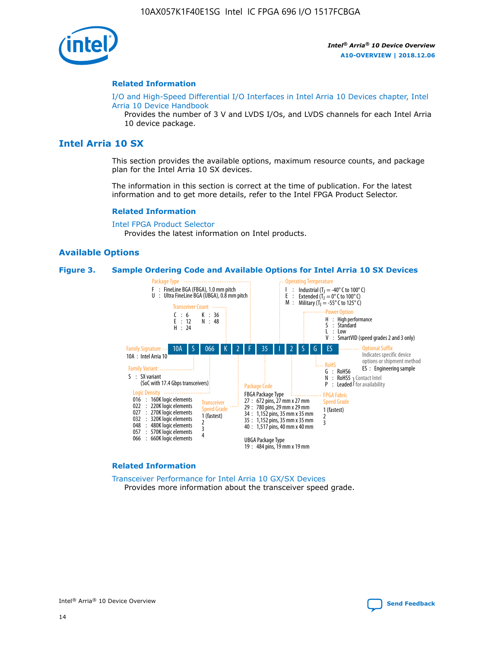

#### **Related Information**

[I/O and High-Speed Differential I/O Interfaces in Intel Arria 10 Devices chapter, Intel](https://www.intel.com/content/www/us/en/programmable/documentation/sam1403482614086.html#sam1403482030321) [Arria 10 Device Handbook](https://www.intel.com/content/www/us/en/programmable/documentation/sam1403482614086.html#sam1403482030321)

Provides the number of 3 V and LVDS I/Os, and LVDS channels for each Intel Arria 10 device package.

# **Intel Arria 10 SX**

This section provides the available options, maximum resource counts, and package plan for the Intel Arria 10 SX devices.

The information in this section is correct at the time of publication. For the latest information and to get more details, refer to the Intel FPGA Product Selector.

#### **Related Information**

[Intel FPGA Product Selector](http://www.altera.com/products/selector/psg-selector.html) Provides the latest information on Intel products.

## **Available Options**

#### **Figure 3. Sample Ordering Code and Available Options for Intel Arria 10 SX Devices**



#### **Related Information**

[Transceiver Performance for Intel Arria 10 GX/SX Devices](https://www.intel.com/content/www/us/en/programmable/documentation/mcn1413182292568.html#mcn1413213965502) Provides more information about the transceiver speed grade.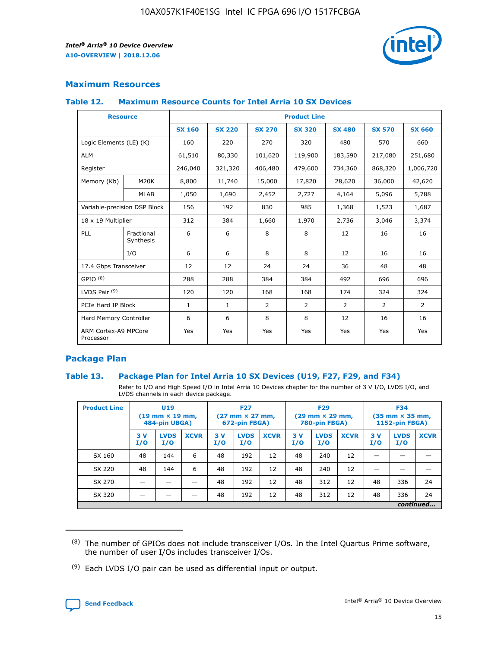

# **Maximum Resources**

#### **Table 12. Maximum Resource Counts for Intel Arria 10 SX Devices**

| <b>Resource</b>                   |                         | <b>Product Line</b> |               |                |                |                |                |                |  |  |  |
|-----------------------------------|-------------------------|---------------------|---------------|----------------|----------------|----------------|----------------|----------------|--|--|--|
|                                   |                         | <b>SX 160</b>       | <b>SX 220</b> | <b>SX 270</b>  | <b>SX 320</b>  | <b>SX 480</b>  | <b>SX 570</b>  | <b>SX 660</b>  |  |  |  |
| Logic Elements (LE) (K)           |                         | 160                 | 220           | 270            | 320            | 480            | 570            | 660            |  |  |  |
| <b>ALM</b>                        |                         | 61,510              | 80,330        | 101,620        | 119,900        | 183,590        | 217,080        | 251,680        |  |  |  |
| Register                          |                         | 246,040             | 321,320       | 406,480        | 479,600        | 734,360        | 868,320        | 1,006,720      |  |  |  |
| Memory (Kb)                       | M <sub>20</sub> K       | 8,800               | 11,740        | 15,000         | 17,820         | 28,620         | 36,000         | 42,620         |  |  |  |
|                                   | <b>MLAB</b>             | 1,050               | 1,690         | 2,452          | 2,727          | 4,164          | 5,096          | 5,788          |  |  |  |
| Variable-precision DSP Block      |                         | 156                 | 192           | 830            | 985            | 1,368          | 1,523          | 1,687          |  |  |  |
| 18 x 19 Multiplier                |                         | 312                 | 384           | 1,660          | 1,970          | 2,736          | 3,046          | 3,374          |  |  |  |
| PLL                               | Fractional<br>Synthesis | 6                   | 6             | 8              | 8              | 12             | 16             | 16             |  |  |  |
|                                   | I/O                     | 6                   | 6             | 8              | 8              | 12             | 16             | 16             |  |  |  |
| 17.4 Gbps Transceiver             |                         | 12                  | 12            | 24             | 24             | 36             | 48             | 48             |  |  |  |
| GPIO <sup>(8)</sup>               |                         | 288                 | 288           | 384            | 384            | 492            | 696            | 696            |  |  |  |
| LVDS Pair $(9)$                   |                         | 120                 | 120           | 168            | 168            | 174            | 324            | 324            |  |  |  |
| PCIe Hard IP Block                |                         | $\mathbf{1}$        | $\mathbf{1}$  | $\overline{2}$ | $\overline{2}$ | $\overline{2}$ | $\overline{2}$ | $\overline{2}$ |  |  |  |
| Hard Memory Controller            |                         | 6                   | 6             | 8              | 8              | 12             | 16             | 16             |  |  |  |
| ARM Cortex-A9 MPCore<br>Processor |                         | Yes                 | Yes           | Yes            | Yes            | Yes            | Yes            | <b>Yes</b>     |  |  |  |

# **Package Plan**

## **Table 13. Package Plan for Intel Arria 10 SX Devices (U19, F27, F29, and F34)**

Refer to I/O and High Speed I/O in Intel Arria 10 Devices chapter for the number of 3 V I/O, LVDS I/O, and LVDS channels in each device package.

| <b>Product Line</b> | U <sub>19</sub><br>$(19 \text{ mm} \times 19 \text{ mm})$<br>484-pin UBGA) |                    | <b>F27</b><br>$(27 \text{ mm} \times 27 \text{ mm})$<br>672-pin FBGA) |           | <b>F29</b><br>$(29 \text{ mm} \times 29 \text{ mm})$<br>780-pin FBGA) |             |            | <b>F34</b><br>$(35 \text{ mm} \times 35 \text{ mm})$<br><b>1152-pin FBGA)</b> |             |           |                    |             |
|---------------------|----------------------------------------------------------------------------|--------------------|-----------------------------------------------------------------------|-----------|-----------------------------------------------------------------------|-------------|------------|-------------------------------------------------------------------------------|-------------|-----------|--------------------|-------------|
|                     | 3V<br>I/O                                                                  | <b>LVDS</b><br>I/O | <b>XCVR</b>                                                           | 3V<br>I/O | <b>LVDS</b><br>I/O                                                    | <b>XCVR</b> | 3 V<br>I/O | <b>LVDS</b><br>I/O                                                            | <b>XCVR</b> | 3V<br>I/O | <b>LVDS</b><br>I/O | <b>XCVR</b> |
| SX 160              | 48                                                                         | 144                | 6                                                                     | 48        | 192                                                                   | 12          | 48         | 240                                                                           | 12          | –         |                    |             |
| SX 220              | 48                                                                         | 144                | 6                                                                     | 48        | 192                                                                   | 12          | 48         | 240                                                                           | 12          |           |                    |             |
| SX 270              |                                                                            |                    |                                                                       | 48        | 192                                                                   | 12          | 48         | 312                                                                           | 12          | 48        | 336                | 24          |
| SX 320              |                                                                            |                    |                                                                       | 48        | 192                                                                   | 12          | 48         | 312                                                                           | 12          | 48        | 336                | 24          |
|                     | continued                                                                  |                    |                                                                       |           |                                                                       |             |            |                                                                               |             |           |                    |             |

 $(8)$  The number of GPIOs does not include transceiver I/Os. In the Intel Quartus Prime software, the number of user I/Os includes transceiver I/Os.

 $(9)$  Each LVDS I/O pair can be used as differential input or output.

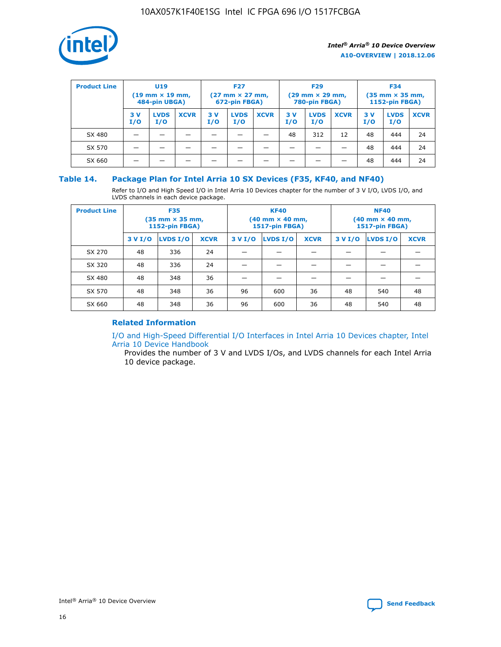

| <b>Product Line</b> | U <sub>19</sub><br>$(19 \text{ mm} \times 19 \text{ mm})$<br>484-pin UBGA) |                    | <b>F27</b><br>$(27 \text{ mm} \times 27 \text{ mm})$<br>672-pin FBGA) |           | <b>F29</b><br>$(29 \text{ mm} \times 29 \text{ mm})$<br>780-pin FBGA) |             |           | <b>F34</b><br>$(35 \text{ mm} \times 35 \text{ mm})$<br><b>1152-pin FBGA)</b> |             |           |                    |             |
|---------------------|----------------------------------------------------------------------------|--------------------|-----------------------------------------------------------------------|-----------|-----------------------------------------------------------------------|-------------|-----------|-------------------------------------------------------------------------------|-------------|-----------|--------------------|-------------|
|                     | 3 V<br>I/O                                                                 | <b>LVDS</b><br>I/O | <b>XCVR</b>                                                           | 3V<br>I/O | <b>LVDS</b><br>I/O                                                    | <b>XCVR</b> | 3V<br>I/O | <b>LVDS</b><br>I/O                                                            | <b>XCVR</b> | 3V<br>I/O | <b>LVDS</b><br>I/O | <b>XCVR</b> |
| SX 480              |                                                                            |                    |                                                                       |           |                                                                       |             | 48        | 312                                                                           | 12          | 48        | 444                | 24          |
| SX 570              |                                                                            |                    |                                                                       |           |                                                                       |             |           |                                                                               |             | 48        | 444                | 24          |
| SX 660              |                                                                            |                    |                                                                       |           |                                                                       |             |           |                                                                               |             | 48        | 444                | 24          |

## **Table 14. Package Plan for Intel Arria 10 SX Devices (F35, KF40, and NF40)**

Refer to I/O and High Speed I/O in Intel Arria 10 Devices chapter for the number of 3 V I/O, LVDS I/O, and LVDS channels in each device package.

| <b>Product Line</b> | <b>F35</b><br>$(35 \text{ mm} \times 35 \text{ mm})$<br><b>1152-pin FBGA)</b> |          |             |                                           | <b>KF40</b><br>(40 mm × 40 mm,<br>1517-pin FBGA) |    | <b>NF40</b><br>$(40 \text{ mm} \times 40 \text{ mm})$<br>1517-pin FBGA) |          |             |  |
|---------------------|-------------------------------------------------------------------------------|----------|-------------|-------------------------------------------|--------------------------------------------------|----|-------------------------------------------------------------------------|----------|-------------|--|
|                     | 3 V I/O                                                                       | LVDS I/O | <b>XCVR</b> | <b>LVDS I/O</b><br><b>XCVR</b><br>3 V I/O |                                                  |    | 3 V I/O                                                                 | LVDS I/O | <b>XCVR</b> |  |
| SX 270              | 48                                                                            | 336      | 24          |                                           |                                                  |    |                                                                         |          |             |  |
| SX 320              | 48                                                                            | 336      | 24          |                                           |                                                  |    |                                                                         |          |             |  |
| SX 480              | 48                                                                            | 348      | 36          |                                           |                                                  |    |                                                                         |          |             |  |
| SX 570              | 48                                                                            | 348      | 36          | 96                                        | 600                                              | 36 | 48                                                                      | 540      | 48          |  |
| SX 660              | 48                                                                            | 348      | 36          | 96                                        | 600                                              | 36 | 48                                                                      | 540      | 48          |  |

# **Related Information**

[I/O and High-Speed Differential I/O Interfaces in Intel Arria 10 Devices chapter, Intel](https://www.intel.com/content/www/us/en/programmable/documentation/sam1403482614086.html#sam1403482030321) [Arria 10 Device Handbook](https://www.intel.com/content/www/us/en/programmable/documentation/sam1403482614086.html#sam1403482030321)

Provides the number of 3 V and LVDS I/Os, and LVDS channels for each Intel Arria 10 device package.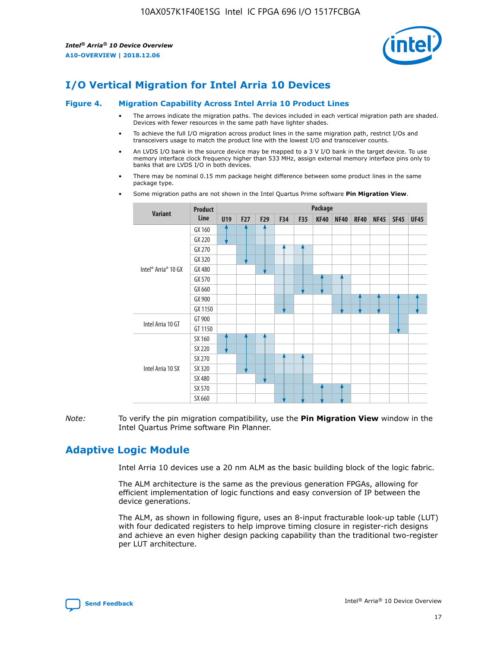

# **I/O Vertical Migration for Intel Arria 10 Devices**

#### **Figure 4. Migration Capability Across Intel Arria 10 Product Lines**

- The arrows indicate the migration paths. The devices included in each vertical migration path are shaded. Devices with fewer resources in the same path have lighter shades.
- To achieve the full I/O migration across product lines in the same migration path, restrict I/Os and transceivers usage to match the product line with the lowest I/O and transceiver counts.
- An LVDS I/O bank in the source device may be mapped to a 3 V I/O bank in the target device. To use memory interface clock frequency higher than 533 MHz, assign external memory interface pins only to banks that are LVDS I/O in both devices.
- There may be nominal 0.15 mm package height difference between some product lines in the same package type.
	- **Variant Product Line Package U19 F27 F29 F34 F35 KF40 NF40 RF40 NF45 SF45 UF45** Intel® Arria® 10 GX GX 160 GX 220 GX 270 GX 320 GX 480 GX 570 GX 660 GX 900 GX 1150 Intel Arria 10 GT GT 900 GT 1150 Intel Arria 10 SX SX 160 SX 220 SX 270 SX 320 SX 480 SX 570 SX 660
- Some migration paths are not shown in the Intel Quartus Prime software **Pin Migration View**.

*Note:* To verify the pin migration compatibility, use the **Pin Migration View** window in the Intel Quartus Prime software Pin Planner.

# **Adaptive Logic Module**

Intel Arria 10 devices use a 20 nm ALM as the basic building block of the logic fabric.

The ALM architecture is the same as the previous generation FPGAs, allowing for efficient implementation of logic functions and easy conversion of IP between the device generations.

The ALM, as shown in following figure, uses an 8-input fracturable look-up table (LUT) with four dedicated registers to help improve timing closure in register-rich designs and achieve an even higher design packing capability than the traditional two-register per LUT architecture.

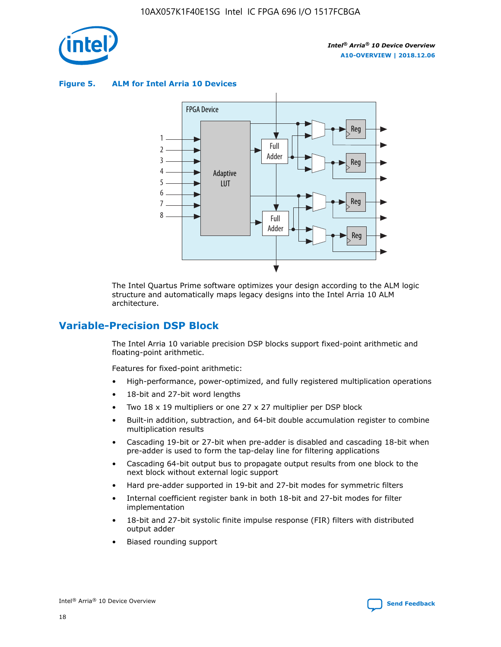

**Figure 5. ALM for Intel Arria 10 Devices**



The Intel Quartus Prime software optimizes your design according to the ALM logic structure and automatically maps legacy designs into the Intel Arria 10 ALM architecture.

# **Variable-Precision DSP Block**

The Intel Arria 10 variable precision DSP blocks support fixed-point arithmetic and floating-point arithmetic.

Features for fixed-point arithmetic:

- High-performance, power-optimized, and fully registered multiplication operations
- 18-bit and 27-bit word lengths
- Two 18 x 19 multipliers or one 27 x 27 multiplier per DSP block
- Built-in addition, subtraction, and 64-bit double accumulation register to combine multiplication results
- Cascading 19-bit or 27-bit when pre-adder is disabled and cascading 18-bit when pre-adder is used to form the tap-delay line for filtering applications
- Cascading 64-bit output bus to propagate output results from one block to the next block without external logic support
- Hard pre-adder supported in 19-bit and 27-bit modes for symmetric filters
- Internal coefficient register bank in both 18-bit and 27-bit modes for filter implementation
- 18-bit and 27-bit systolic finite impulse response (FIR) filters with distributed output adder
- Biased rounding support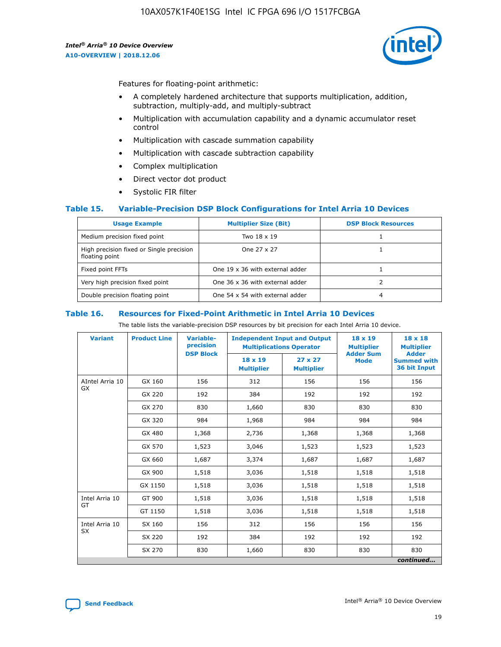

Features for floating-point arithmetic:

- A completely hardened architecture that supports multiplication, addition, subtraction, multiply-add, and multiply-subtract
- Multiplication with accumulation capability and a dynamic accumulator reset control
- Multiplication with cascade summation capability
- Multiplication with cascade subtraction capability
- Complex multiplication
- Direct vector dot product
- Systolic FIR filter

## **Table 15. Variable-Precision DSP Block Configurations for Intel Arria 10 Devices**

| <b>Usage Example</b>                                       | <b>Multiplier Size (Bit)</b>    | <b>DSP Block Resources</b> |
|------------------------------------------------------------|---------------------------------|----------------------------|
| Medium precision fixed point                               | Two 18 x 19                     |                            |
| High precision fixed or Single precision<br>floating point | One 27 x 27                     |                            |
| Fixed point FFTs                                           | One 19 x 36 with external adder |                            |
| Very high precision fixed point                            | One 36 x 36 with external adder |                            |
| Double precision floating point                            | One 54 x 54 with external adder | 4                          |

#### **Table 16. Resources for Fixed-Point Arithmetic in Intel Arria 10 Devices**

The table lists the variable-precision DSP resources by bit precision for each Intel Arria 10 device.

| <b>Variant</b>  | <b>Product Line</b> | <b>Variable-</b><br>precision<br><b>DSP Block</b> | <b>Independent Input and Output</b><br><b>Multiplications Operator</b> |                                     | 18 x 19<br><b>Multiplier</b><br><b>Adder Sum</b> | $18 \times 18$<br><b>Multiplier</b><br><b>Adder</b> |
|-----------------|---------------------|---------------------------------------------------|------------------------------------------------------------------------|-------------------------------------|--------------------------------------------------|-----------------------------------------------------|
|                 |                     |                                                   | 18 x 19<br><b>Multiplier</b>                                           | $27 \times 27$<br><b>Multiplier</b> | <b>Mode</b>                                      | <b>Summed with</b><br>36 bit Input                  |
| AIntel Arria 10 | GX 160              | 156                                               | 312                                                                    | 156                                 | 156                                              | 156                                                 |
| GX              | GX 220              | 192                                               | 384                                                                    | 192                                 | 192                                              | 192                                                 |
|                 | GX 270              | 830                                               | 1,660                                                                  | 830                                 | 830                                              | 830                                                 |
|                 | GX 320              | 984                                               | 1,968                                                                  | 984                                 | 984                                              | 984                                                 |
|                 | GX 480              | 1,368                                             | 2,736                                                                  | 1,368                               | 1,368                                            | 1,368                                               |
|                 | GX 570              | 1,523                                             | 3,046                                                                  | 1,523                               | 1,523                                            | 1,523                                               |
|                 | GX 660              | 1,687                                             | 3,374                                                                  | 1,687                               | 1,687                                            | 1,687                                               |
|                 | GX 900              | 1,518                                             | 3,036                                                                  | 1,518                               | 1,518                                            | 1,518                                               |
|                 | GX 1150             | 1,518                                             | 3,036                                                                  | 1,518                               | 1,518                                            | 1,518                                               |
| Intel Arria 10  | GT 900              | 1,518                                             | 3,036                                                                  | 1,518                               | 1,518                                            | 1,518                                               |
| GT              | GT 1150             | 1,518                                             | 3,036                                                                  | 1,518                               | 1,518                                            | 1,518                                               |
| Intel Arria 10  | SX 160              | 156                                               | 312                                                                    | 156                                 | 156                                              | 156                                                 |
| <b>SX</b>       | SX 220              | 192                                               | 384                                                                    | 192                                 | 192                                              | 192                                                 |
|                 | SX 270              | 830                                               | 1,660                                                                  | 830                                 | 830                                              | 830                                                 |
|                 |                     |                                                   |                                                                        |                                     |                                                  | continued                                           |

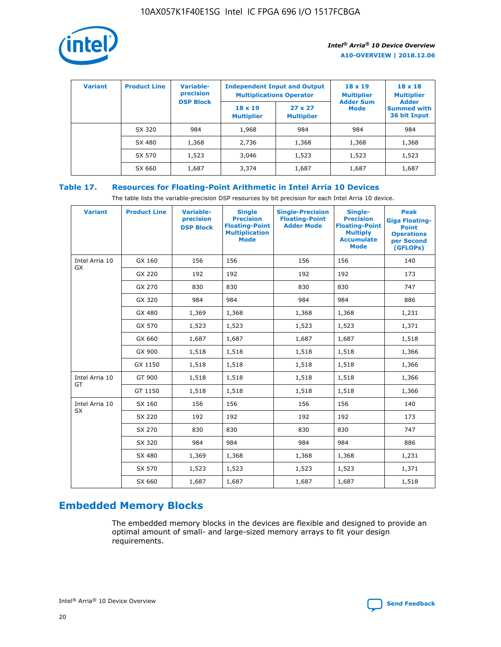

| <b>Variant</b> | <b>Product Line</b> | Variable-<br>precision | <b>Independent Input and Output</b><br><b>Multiplications Operator</b> |                                     | $18 \times 19$<br><b>Multiplier</b> | $18 \times 18$<br><b>Multiplier</b><br><b>Adder</b> |  |
|----------------|---------------------|------------------------|------------------------------------------------------------------------|-------------------------------------|-------------------------------------|-----------------------------------------------------|--|
|                |                     | <b>DSP Block</b>       | $18 \times 19$<br><b>Multiplier</b>                                    | $27 \times 27$<br><b>Multiplier</b> | <b>Adder Sum</b><br><b>Mode</b>     | <b>Summed with</b><br>36 bit Input                  |  |
|                | SX 320              | 984                    | 1,968                                                                  | 984                                 | 984                                 | 984                                                 |  |
|                | SX 480              | 1,368                  | 2,736                                                                  | 1,368                               | 1,368                               | 1,368                                               |  |
|                | SX 570              | 1,523                  | 3,046                                                                  | 1,523                               | 1,523                               | 1,523                                               |  |
|                | SX 660              | 1,687                  | 3,374                                                                  | 1,687                               | 1,687                               | 1,687                                               |  |

# **Table 17. Resources for Floating-Point Arithmetic in Intel Arria 10 Devices**

The table lists the variable-precision DSP resources by bit precision for each Intel Arria 10 device.

| <b>Variant</b>              | <b>Product Line</b> | <b>Variable-</b><br>precision<br><b>DSP Block</b> | <b>Single</b><br><b>Precision</b><br><b>Floating-Point</b><br><b>Multiplication</b><br><b>Mode</b> | <b>Single-Precision</b><br><b>Floating-Point</b><br><b>Adder Mode</b> | Single-<br><b>Precision</b><br><b>Floating-Point</b><br><b>Multiply</b><br><b>Accumulate</b><br><b>Mode</b> | <b>Peak</b><br><b>Giga Floating-</b><br><b>Point</b><br><b>Operations</b><br>per Second<br>(GFLOPs) |
|-----------------------------|---------------------|---------------------------------------------------|----------------------------------------------------------------------------------------------------|-----------------------------------------------------------------------|-------------------------------------------------------------------------------------------------------------|-----------------------------------------------------------------------------------------------------|
| Intel Arria 10<br>GX        | GX 160              | 156                                               | 156                                                                                                | 156                                                                   | 156                                                                                                         | 140                                                                                                 |
|                             | GX 220              | 192                                               | 192                                                                                                | 192                                                                   | 192                                                                                                         | 173                                                                                                 |
|                             | GX 270              | 830                                               | 830                                                                                                | 830                                                                   | 830                                                                                                         | 747                                                                                                 |
|                             | GX 320              | 984                                               | 984                                                                                                | 984                                                                   | 984                                                                                                         | 886                                                                                                 |
|                             | GX 480              | 1,369                                             | 1,368                                                                                              | 1,368                                                                 | 1,368                                                                                                       | 1,231                                                                                               |
|                             | GX 570              | 1,523                                             | 1,523                                                                                              | 1,523                                                                 | 1,523                                                                                                       | 1,371                                                                                               |
|                             | GX 660              | 1,687                                             | 1,687                                                                                              | 1,687                                                                 | 1,687                                                                                                       | 1,518                                                                                               |
|                             | GX 900              | 1,518                                             | 1,518                                                                                              | 1,518                                                                 | 1,518                                                                                                       | 1,366                                                                                               |
|                             | GX 1150             | 1,518                                             | 1,518                                                                                              | 1,518                                                                 | 1,518                                                                                                       | 1,366                                                                                               |
| Intel Arria 10              | GT 900              | 1,518                                             | 1,518                                                                                              | 1,518                                                                 | 1,518                                                                                                       | 1,366                                                                                               |
| GT                          | GT 1150             | 1,518                                             | 1,518                                                                                              | 1,518                                                                 | 1,518                                                                                                       | 1,366                                                                                               |
| Intel Arria 10<br><b>SX</b> | SX 160              | 156                                               | 156                                                                                                | 156                                                                   | 156                                                                                                         | 140                                                                                                 |
|                             | SX 220              | 192                                               | 192                                                                                                | 192                                                                   | 192                                                                                                         | 173                                                                                                 |
|                             | SX 270              | 830                                               | 830                                                                                                | 830                                                                   | 830                                                                                                         | 747                                                                                                 |
|                             | SX 320              | 984                                               | 984                                                                                                | 984                                                                   | 984                                                                                                         | 886                                                                                                 |
|                             | SX 480              | 1,369                                             | 1,368                                                                                              | 1,368                                                                 | 1,368                                                                                                       | 1,231                                                                                               |
|                             | SX 570              | 1,523                                             | 1,523                                                                                              | 1,523                                                                 | 1,523                                                                                                       | 1,371                                                                                               |
|                             | SX 660              | 1,687                                             | 1,687                                                                                              | 1,687                                                                 | 1,687                                                                                                       | 1,518                                                                                               |

# **Embedded Memory Blocks**

The embedded memory blocks in the devices are flexible and designed to provide an optimal amount of small- and large-sized memory arrays to fit your design requirements.

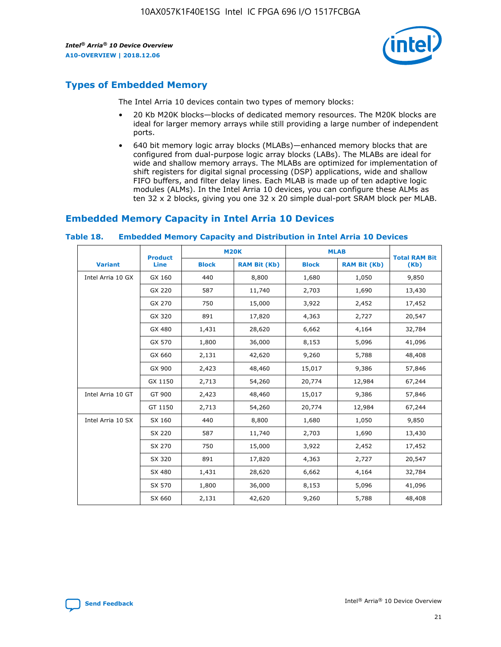

# **Types of Embedded Memory**

The Intel Arria 10 devices contain two types of memory blocks:

- 20 Kb M20K blocks—blocks of dedicated memory resources. The M20K blocks are ideal for larger memory arrays while still providing a large number of independent ports.
- 640 bit memory logic array blocks (MLABs)—enhanced memory blocks that are configured from dual-purpose logic array blocks (LABs). The MLABs are ideal for wide and shallow memory arrays. The MLABs are optimized for implementation of shift registers for digital signal processing (DSP) applications, wide and shallow FIFO buffers, and filter delay lines. Each MLAB is made up of ten adaptive logic modules (ALMs). In the Intel Arria 10 devices, you can configure these ALMs as ten 32 x 2 blocks, giving you one 32 x 20 simple dual-port SRAM block per MLAB.

# **Embedded Memory Capacity in Intel Arria 10 Devices**

|                   | <b>Product</b> |              | <b>M20K</b>         |              | <b>MLAB</b>         | <b>Total RAM Bit</b> |
|-------------------|----------------|--------------|---------------------|--------------|---------------------|----------------------|
| <b>Variant</b>    | Line           | <b>Block</b> | <b>RAM Bit (Kb)</b> | <b>Block</b> | <b>RAM Bit (Kb)</b> | (Kb)                 |
| Intel Arria 10 GX | GX 160         | 440          | 8,800               | 1,680        | 1,050               | 9,850                |
|                   | GX 220         | 587          | 11,740              | 2,703        | 1,690               | 13,430               |
|                   | GX 270         | 750          | 15,000              | 3,922        | 2,452               | 17,452               |
|                   | GX 320         | 891          | 17,820              | 4,363        | 2,727               | 20,547               |
|                   | GX 480         | 1,431        | 28,620              | 6,662        | 4,164               | 32,784               |
|                   | GX 570         | 1,800        | 36,000              | 8,153        | 5,096               | 41,096               |
|                   | GX 660         | 2,131        | 42,620              | 9,260        | 5,788               | 48,408               |
|                   | GX 900         | 2,423        | 48,460              | 15,017       | 9,386               | 57,846               |
|                   | GX 1150        | 2,713        | 54,260              | 20,774       | 12,984              | 67,244               |
| Intel Arria 10 GT | GT 900         | 2,423        | 48,460              | 15,017       | 9,386               | 57,846               |
|                   | GT 1150        | 2,713        | 54,260              | 20,774       | 12,984              | 67,244               |
| Intel Arria 10 SX | SX 160         | 440          | 8,800               | 1,680        | 1,050               | 9,850                |
|                   | SX 220         | 587          | 11,740              | 2,703        | 1,690               | 13,430               |
|                   | SX 270         | 750          | 15,000              | 3,922        | 2,452               | 17,452               |
|                   | SX 320         | 891          | 17,820              | 4,363        | 2,727               | 20,547               |
|                   | SX 480         | 1,431        | 28,620              | 6,662        | 4,164               | 32,784               |
|                   | SX 570         | 1,800        | 36,000              | 8,153        | 5,096               | 41,096               |
|                   | SX 660         | 2,131        | 42,620              | 9,260        | 5,788               | 48,408               |

#### **Table 18. Embedded Memory Capacity and Distribution in Intel Arria 10 Devices**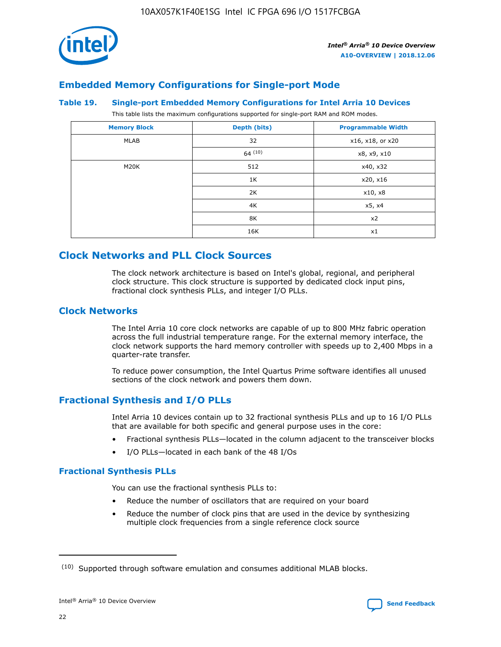

# **Embedded Memory Configurations for Single-port Mode**

#### **Table 19. Single-port Embedded Memory Configurations for Intel Arria 10 Devices**

This table lists the maximum configurations supported for single-port RAM and ROM modes.

| <b>Memory Block</b> | Depth (bits) | <b>Programmable Width</b> |
|---------------------|--------------|---------------------------|
| MLAB                | 32           | x16, x18, or x20          |
|                     | 64(10)       | x8, x9, x10               |
| M20K                | 512          | x40, x32                  |
|                     | 1K           | x20, x16                  |
|                     | 2K           | x10, x8                   |
|                     | 4K           | x5, x4                    |
|                     | 8K           | x2                        |
|                     | 16K          | x1                        |

# **Clock Networks and PLL Clock Sources**

The clock network architecture is based on Intel's global, regional, and peripheral clock structure. This clock structure is supported by dedicated clock input pins, fractional clock synthesis PLLs, and integer I/O PLLs.

# **Clock Networks**

The Intel Arria 10 core clock networks are capable of up to 800 MHz fabric operation across the full industrial temperature range. For the external memory interface, the clock network supports the hard memory controller with speeds up to 2,400 Mbps in a quarter-rate transfer.

To reduce power consumption, the Intel Quartus Prime software identifies all unused sections of the clock network and powers them down.

# **Fractional Synthesis and I/O PLLs**

Intel Arria 10 devices contain up to 32 fractional synthesis PLLs and up to 16 I/O PLLs that are available for both specific and general purpose uses in the core:

- Fractional synthesis PLLs—located in the column adjacent to the transceiver blocks
- I/O PLLs—located in each bank of the 48 I/Os

# **Fractional Synthesis PLLs**

You can use the fractional synthesis PLLs to:

- Reduce the number of oscillators that are required on your board
- Reduce the number of clock pins that are used in the device by synthesizing multiple clock frequencies from a single reference clock source

<sup>(10)</sup> Supported through software emulation and consumes additional MLAB blocks.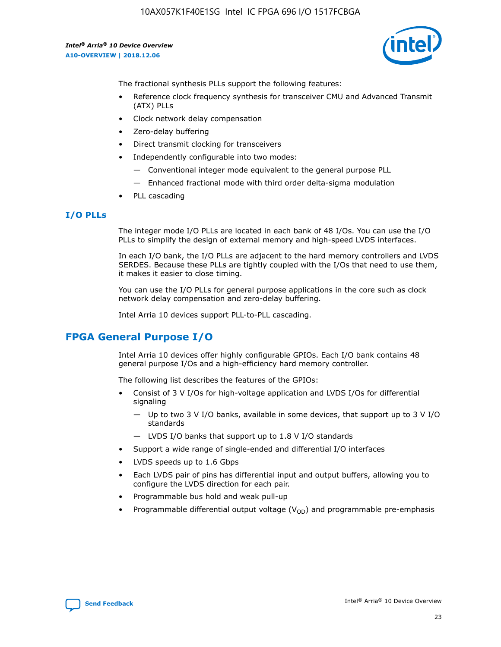10AX057K1F40E1SG Intel IC FPGA 696 I/O 1517FCBGA

*Intel® Arria® 10 Device Overview* **A10-OVERVIEW | 2018.12.06**



The fractional synthesis PLLs support the following features:

- Reference clock frequency synthesis for transceiver CMU and Advanced Transmit (ATX) PLLs
- Clock network delay compensation
- Zero-delay buffering
- Direct transmit clocking for transceivers
- Independently configurable into two modes:
	- Conventional integer mode equivalent to the general purpose PLL
	- Enhanced fractional mode with third order delta-sigma modulation
- PLL cascading

## **I/O PLLs**

The integer mode I/O PLLs are located in each bank of 48 I/Os. You can use the I/O PLLs to simplify the design of external memory and high-speed LVDS interfaces.

In each I/O bank, the I/O PLLs are adjacent to the hard memory controllers and LVDS SERDES. Because these PLLs are tightly coupled with the I/Os that need to use them, it makes it easier to close timing.

You can use the I/O PLLs for general purpose applications in the core such as clock network delay compensation and zero-delay buffering.

Intel Arria 10 devices support PLL-to-PLL cascading.

# **FPGA General Purpose I/O**

Intel Arria 10 devices offer highly configurable GPIOs. Each I/O bank contains 48 general purpose I/Os and a high-efficiency hard memory controller.

The following list describes the features of the GPIOs:

- Consist of 3 V I/Os for high-voltage application and LVDS I/Os for differential signaling
	- Up to two 3 V I/O banks, available in some devices, that support up to 3 V I/O standards
	- LVDS I/O banks that support up to 1.8 V I/O standards
- Support a wide range of single-ended and differential I/O interfaces
- LVDS speeds up to 1.6 Gbps
- Each LVDS pair of pins has differential input and output buffers, allowing you to configure the LVDS direction for each pair.
- Programmable bus hold and weak pull-up
- Programmable differential output voltage  $(V_{OD})$  and programmable pre-emphasis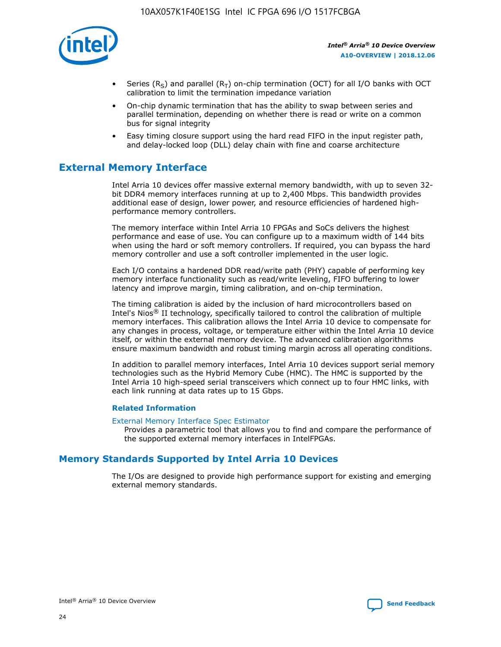

- Series (R<sub>S</sub>) and parallel (R<sub>T</sub>) on-chip termination (OCT) for all I/O banks with OCT calibration to limit the termination impedance variation
- On-chip dynamic termination that has the ability to swap between series and parallel termination, depending on whether there is read or write on a common bus for signal integrity
- Easy timing closure support using the hard read FIFO in the input register path, and delay-locked loop (DLL) delay chain with fine and coarse architecture

# **External Memory Interface**

Intel Arria 10 devices offer massive external memory bandwidth, with up to seven 32 bit DDR4 memory interfaces running at up to 2,400 Mbps. This bandwidth provides additional ease of design, lower power, and resource efficiencies of hardened highperformance memory controllers.

The memory interface within Intel Arria 10 FPGAs and SoCs delivers the highest performance and ease of use. You can configure up to a maximum width of 144 bits when using the hard or soft memory controllers. If required, you can bypass the hard memory controller and use a soft controller implemented in the user logic.

Each I/O contains a hardened DDR read/write path (PHY) capable of performing key memory interface functionality such as read/write leveling, FIFO buffering to lower latency and improve margin, timing calibration, and on-chip termination.

The timing calibration is aided by the inclusion of hard microcontrollers based on Intel's Nios® II technology, specifically tailored to control the calibration of multiple memory interfaces. This calibration allows the Intel Arria 10 device to compensate for any changes in process, voltage, or temperature either within the Intel Arria 10 device itself, or within the external memory device. The advanced calibration algorithms ensure maximum bandwidth and robust timing margin across all operating conditions.

In addition to parallel memory interfaces, Intel Arria 10 devices support serial memory technologies such as the Hybrid Memory Cube (HMC). The HMC is supported by the Intel Arria 10 high-speed serial transceivers which connect up to four HMC links, with each link running at data rates up to 15 Gbps.

## **Related Information**

#### [External Memory Interface Spec Estimator](http://www.altera.com/technology/memory/estimator/mem-emif-index.html)

Provides a parametric tool that allows you to find and compare the performance of the supported external memory interfaces in IntelFPGAs.

# **Memory Standards Supported by Intel Arria 10 Devices**

The I/Os are designed to provide high performance support for existing and emerging external memory standards.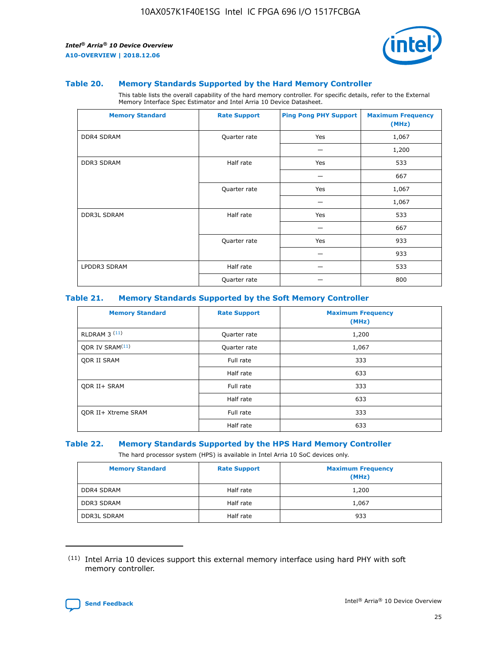

#### **Table 20. Memory Standards Supported by the Hard Memory Controller**

This table lists the overall capability of the hard memory controller. For specific details, refer to the External Memory Interface Spec Estimator and Intel Arria 10 Device Datasheet.

| <b>Memory Standard</b> | <b>Rate Support</b> | <b>Ping Pong PHY Support</b> | <b>Maximum Frequency</b><br>(MHz) |
|------------------------|---------------------|------------------------------|-----------------------------------|
| <b>DDR4 SDRAM</b>      | Quarter rate        | Yes                          | 1,067                             |
|                        |                     |                              | 1,200                             |
| DDR3 SDRAM             | Half rate           | Yes                          | 533                               |
|                        |                     |                              | 667                               |
|                        | Quarter rate        | Yes                          | 1,067                             |
|                        |                     |                              | 1,067                             |
| <b>DDR3L SDRAM</b>     | Half rate           | Yes                          | 533                               |
|                        |                     |                              | 667                               |
|                        | Quarter rate        | Yes                          | 933                               |
|                        |                     |                              | 933                               |
| LPDDR3 SDRAM           | Half rate           |                              | 533                               |
|                        | Quarter rate        |                              | 800                               |

#### **Table 21. Memory Standards Supported by the Soft Memory Controller**

| <b>Memory Standard</b>      | <b>Rate Support</b> | <b>Maximum Frequency</b><br>(MHz) |
|-----------------------------|---------------------|-----------------------------------|
| <b>RLDRAM 3 (11)</b>        | Quarter rate        | 1,200                             |
| ODR IV SRAM <sup>(11)</sup> | Quarter rate        | 1,067                             |
| <b>ODR II SRAM</b>          | Full rate           | 333                               |
|                             | Half rate           | 633                               |
| <b>ODR II+ SRAM</b>         | Full rate           | 333                               |
|                             | Half rate           | 633                               |
| <b>ODR II+ Xtreme SRAM</b>  | Full rate           | 333                               |
|                             | Half rate           | 633                               |

#### **Table 22. Memory Standards Supported by the HPS Hard Memory Controller**

The hard processor system (HPS) is available in Intel Arria 10 SoC devices only.

| <b>Memory Standard</b> | <b>Rate Support</b> | <b>Maximum Frequency</b><br>(MHz) |
|------------------------|---------------------|-----------------------------------|
| <b>DDR4 SDRAM</b>      | Half rate           | 1,200                             |
| <b>DDR3 SDRAM</b>      | Half rate           | 1,067                             |
| <b>DDR3L SDRAM</b>     | Half rate           | 933                               |

<sup>(11)</sup> Intel Arria 10 devices support this external memory interface using hard PHY with soft memory controller.

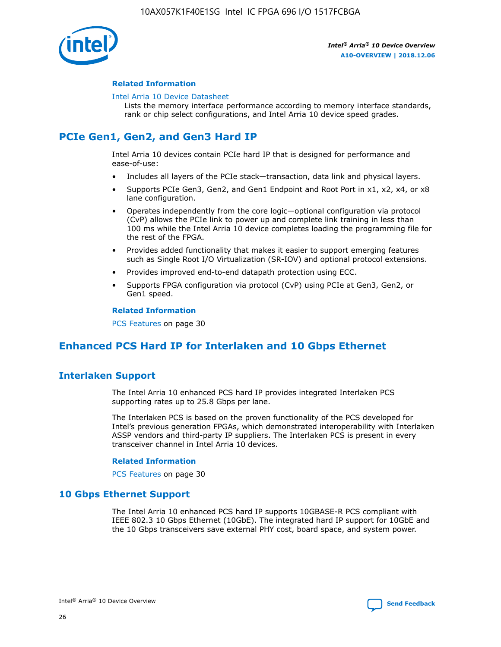

## **Related Information**

#### [Intel Arria 10 Device Datasheet](https://www.intel.com/content/www/us/en/programmable/documentation/mcn1413182292568.html#mcn1413182153340)

Lists the memory interface performance according to memory interface standards, rank or chip select configurations, and Intel Arria 10 device speed grades.

# **PCIe Gen1, Gen2, and Gen3 Hard IP**

Intel Arria 10 devices contain PCIe hard IP that is designed for performance and ease-of-use:

- Includes all layers of the PCIe stack—transaction, data link and physical layers.
- Supports PCIe Gen3, Gen2, and Gen1 Endpoint and Root Port in x1, x2, x4, or x8 lane configuration.
- Operates independently from the core logic—optional configuration via protocol (CvP) allows the PCIe link to power up and complete link training in less than 100 ms while the Intel Arria 10 device completes loading the programming file for the rest of the FPGA.
- Provides added functionality that makes it easier to support emerging features such as Single Root I/O Virtualization (SR-IOV) and optional protocol extensions.
- Provides improved end-to-end datapath protection using ECC.
- Supports FPGA configuration via protocol (CvP) using PCIe at Gen3, Gen2, or Gen1 speed.

#### **Related Information**

PCS Features on page 30

# **Enhanced PCS Hard IP for Interlaken and 10 Gbps Ethernet**

# **Interlaken Support**

The Intel Arria 10 enhanced PCS hard IP provides integrated Interlaken PCS supporting rates up to 25.8 Gbps per lane.

The Interlaken PCS is based on the proven functionality of the PCS developed for Intel's previous generation FPGAs, which demonstrated interoperability with Interlaken ASSP vendors and third-party IP suppliers. The Interlaken PCS is present in every transceiver channel in Intel Arria 10 devices.

## **Related Information**

PCS Features on page 30

# **10 Gbps Ethernet Support**

The Intel Arria 10 enhanced PCS hard IP supports 10GBASE-R PCS compliant with IEEE 802.3 10 Gbps Ethernet (10GbE). The integrated hard IP support for 10GbE and the 10 Gbps transceivers save external PHY cost, board space, and system power.

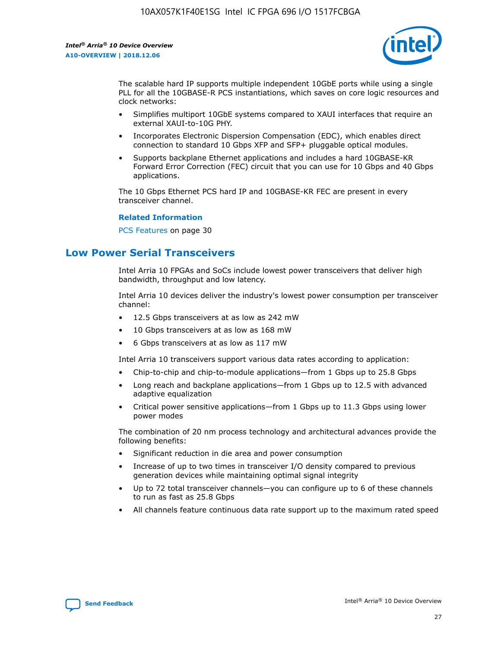

The scalable hard IP supports multiple independent 10GbE ports while using a single PLL for all the 10GBASE-R PCS instantiations, which saves on core logic resources and clock networks:

- Simplifies multiport 10GbE systems compared to XAUI interfaces that require an external XAUI-to-10G PHY.
- Incorporates Electronic Dispersion Compensation (EDC), which enables direct connection to standard 10 Gbps XFP and SFP+ pluggable optical modules.
- Supports backplane Ethernet applications and includes a hard 10GBASE-KR Forward Error Correction (FEC) circuit that you can use for 10 Gbps and 40 Gbps applications.

The 10 Gbps Ethernet PCS hard IP and 10GBASE-KR FEC are present in every transceiver channel.

#### **Related Information**

PCS Features on page 30

# **Low Power Serial Transceivers**

Intel Arria 10 FPGAs and SoCs include lowest power transceivers that deliver high bandwidth, throughput and low latency.

Intel Arria 10 devices deliver the industry's lowest power consumption per transceiver channel:

- 12.5 Gbps transceivers at as low as 242 mW
- 10 Gbps transceivers at as low as 168 mW
- 6 Gbps transceivers at as low as 117 mW

Intel Arria 10 transceivers support various data rates according to application:

- Chip-to-chip and chip-to-module applications—from 1 Gbps up to 25.8 Gbps
- Long reach and backplane applications—from 1 Gbps up to 12.5 with advanced adaptive equalization
- Critical power sensitive applications—from 1 Gbps up to 11.3 Gbps using lower power modes

The combination of 20 nm process technology and architectural advances provide the following benefits:

- Significant reduction in die area and power consumption
- Increase of up to two times in transceiver I/O density compared to previous generation devices while maintaining optimal signal integrity
- Up to 72 total transceiver channels—you can configure up to 6 of these channels to run as fast as 25.8 Gbps
- All channels feature continuous data rate support up to the maximum rated speed

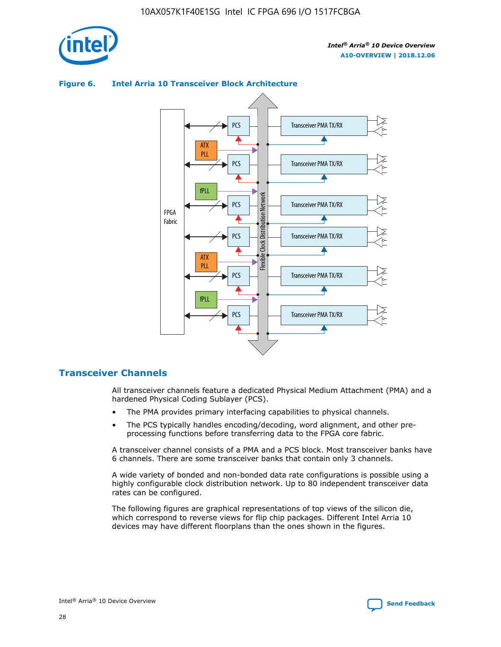



## **Figure 6. Intel Arria 10 Transceiver Block Architecture**

# **Transceiver Channels**

All transceiver channels feature a dedicated Physical Medium Attachment (PMA) and a hardened Physical Coding Sublayer (PCS).

- The PMA provides primary interfacing capabilities to physical channels.
- The PCS typically handles encoding/decoding, word alignment, and other preprocessing functions before transferring data to the FPGA core fabric.

A transceiver channel consists of a PMA and a PCS block. Most transceiver banks have 6 channels. There are some transceiver banks that contain only 3 channels.

A wide variety of bonded and non-bonded data rate configurations is possible using a highly configurable clock distribution network. Up to 80 independent transceiver data rates can be configured.

The following figures are graphical representations of top views of the silicon die, which correspond to reverse views for flip chip packages. Different Intel Arria 10 devices may have different floorplans than the ones shown in the figures.

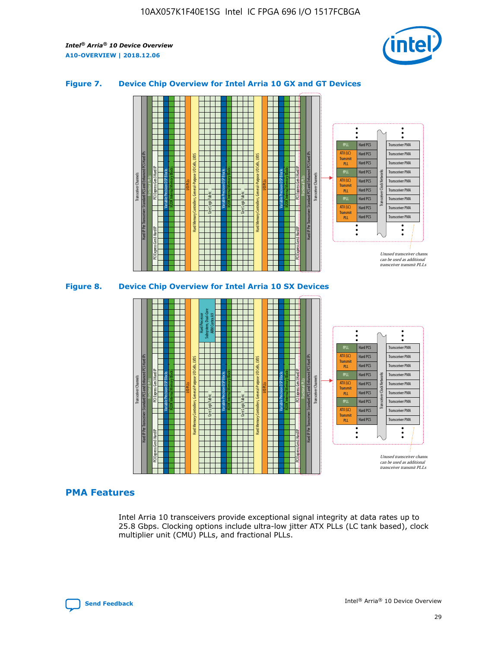

# **Figure 7. Device Chip Overview for Intel Arria 10 GX and GT Devices**



M20K Internal Memory Blocks Core Logic Fabric Transceiver Channels Hard IP Per Transceiver: Standard PCS and Enhanced PCS Hard IPs PCI Express Gen3 Hard IP Fractional PLLs M20K Internal Memory Blocks PCI Express Gen3 Hard IP Variable Precision DSP Blocks I/O PLLs Hard Memory Controllers, General-Purpose I/O Cells, LVDS Hard Processor Subsystem, Dual-Core ARM Cortex A9 M20K Internal Memory Blocks Variable Precision DSP Blocks M20K Internal Memory Blocks Core Logic Fabric I/O PLLs Hard Memory Controllers, General-Purpose I/O Cells, LVDS M20K Internal Memory Blocks Variable Precision DSP Blocks M20K Internal Memory Blocks Transceiver Channels Hard IP Per Transceiver: Standard PCS and Enhanced PCS Hard IPs PCI Express Gen3 Hard IP Fractional PLLs PCI Express Gen3 Hard IP  $\ddot{\cdot}$ Hard PCS Transceiver PMA fPLL ATX (LC) Hard PCS Transceiver PMA **Transmit** Hard PCS Transceiver PMA PLL fPLL Hard PCS Transceiver PMA Transceiver Clock Networks ATX (LC) Hard PCS Transceiver PMA Transmi Hard PCS Transceiver PMA PLL fPLL Hard PCS Transceiver PMA Transceiver PMA Hard PCS ATX (LC) **Transmit** Hard PCS Transceiver PMA PLL Unused transceiver chann can be used as additional transceiver transmit PLLs

# **PMA Features**

Intel Arria 10 transceivers provide exceptional signal integrity at data rates up to 25.8 Gbps. Clocking options include ultra-low jitter ATX PLLs (LC tank based), clock multiplier unit (CMU) PLLs, and fractional PLLs.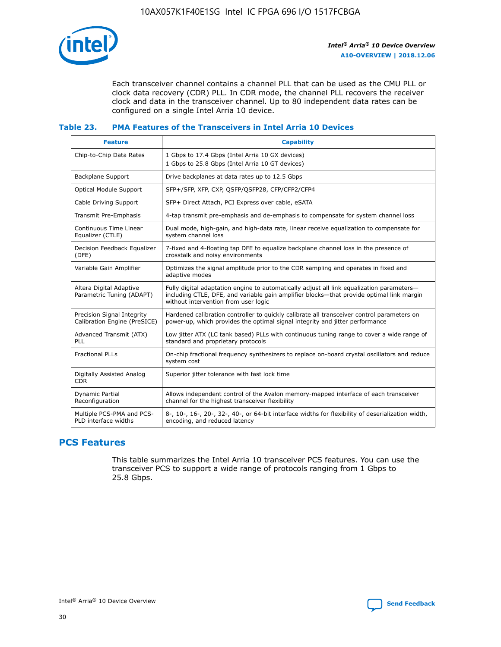

Each transceiver channel contains a channel PLL that can be used as the CMU PLL or clock data recovery (CDR) PLL. In CDR mode, the channel PLL recovers the receiver clock and data in the transceiver channel. Up to 80 independent data rates can be configured on a single Intel Arria 10 device.

## **Table 23. PMA Features of the Transceivers in Intel Arria 10 Devices**

| <b>Feature</b>                                             | <b>Capability</b>                                                                                                                                                                                                             |
|------------------------------------------------------------|-------------------------------------------------------------------------------------------------------------------------------------------------------------------------------------------------------------------------------|
| Chip-to-Chip Data Rates                                    | 1 Gbps to 17.4 Gbps (Intel Arria 10 GX devices)<br>1 Gbps to 25.8 Gbps (Intel Arria 10 GT devices)                                                                                                                            |
| Backplane Support                                          | Drive backplanes at data rates up to 12.5 Gbps                                                                                                                                                                                |
| <b>Optical Module Support</b>                              | SFP+/SFP, XFP, CXP, QSFP/QSFP28, CFP/CFP2/CFP4                                                                                                                                                                                |
| Cable Driving Support                                      | SFP+ Direct Attach, PCI Express over cable, eSATA                                                                                                                                                                             |
| Transmit Pre-Emphasis                                      | 4-tap transmit pre-emphasis and de-emphasis to compensate for system channel loss                                                                                                                                             |
| Continuous Time Linear<br>Equalizer (CTLE)                 | Dual mode, high-gain, and high-data rate, linear receive equalization to compensate for<br>system channel loss                                                                                                                |
| Decision Feedback Equalizer<br>(DFE)                       | 7-fixed and 4-floating tap DFE to equalize backplane channel loss in the presence of<br>crosstalk and noisy environments                                                                                                      |
| Variable Gain Amplifier                                    | Optimizes the signal amplitude prior to the CDR sampling and operates in fixed and<br>adaptive modes                                                                                                                          |
| Altera Digital Adaptive<br>Parametric Tuning (ADAPT)       | Fully digital adaptation engine to automatically adjust all link equalization parameters-<br>including CTLE, DFE, and variable gain amplifier blocks—that provide optimal link margin<br>without intervention from user logic |
| Precision Signal Integrity<br>Calibration Engine (PreSICE) | Hardened calibration controller to quickly calibrate all transceiver control parameters on<br>power-up, which provides the optimal signal integrity and jitter performance                                                    |
| Advanced Transmit (ATX)<br><b>PLL</b>                      | Low jitter ATX (LC tank based) PLLs with continuous tuning range to cover a wide range of<br>standard and proprietary protocols                                                                                               |
| <b>Fractional PLLs</b>                                     | On-chip fractional frequency synthesizers to replace on-board crystal oscillators and reduce<br>system cost                                                                                                                   |
| Digitally Assisted Analog<br><b>CDR</b>                    | Superior jitter tolerance with fast lock time                                                                                                                                                                                 |
| Dynamic Partial<br>Reconfiguration                         | Allows independent control of the Avalon memory-mapped interface of each transceiver<br>channel for the highest transceiver flexibility                                                                                       |
| Multiple PCS-PMA and PCS-<br>PLD interface widths          | 8-, 10-, 16-, 20-, 32-, 40-, or 64-bit interface widths for flexibility of deserialization width,<br>encoding, and reduced latency                                                                                            |

# **PCS Features**

This table summarizes the Intel Arria 10 transceiver PCS features. You can use the transceiver PCS to support a wide range of protocols ranging from 1 Gbps to 25.8 Gbps.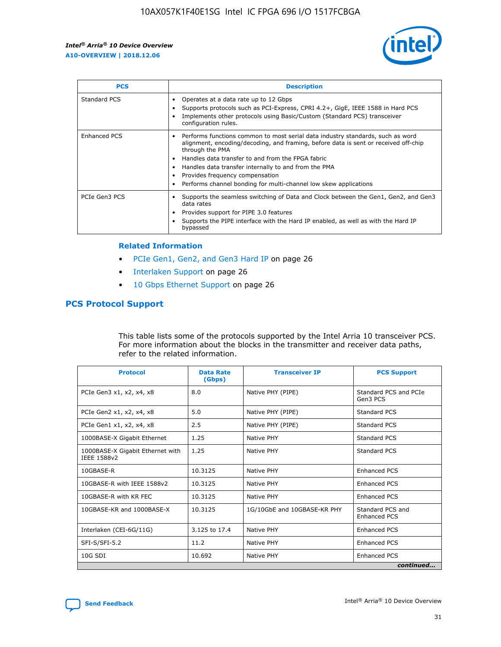

| <b>PCS</b>    | <b>Description</b>                                                                                                                                                                                                                                                                                                                                                                                             |
|---------------|----------------------------------------------------------------------------------------------------------------------------------------------------------------------------------------------------------------------------------------------------------------------------------------------------------------------------------------------------------------------------------------------------------------|
| Standard PCS  | Operates at a data rate up to 12 Gbps<br>Supports protocols such as PCI-Express, CPRI 4.2+, GigE, IEEE 1588 in Hard PCS<br>Implements other protocols using Basic/Custom (Standard PCS) transceiver<br>configuration rules.                                                                                                                                                                                    |
| Enhanced PCS  | Performs functions common to most serial data industry standards, such as word<br>alignment, encoding/decoding, and framing, before data is sent or received off-chip<br>through the PMA<br>• Handles data transfer to and from the FPGA fabric<br>Handles data transfer internally to and from the PMA<br>Provides frequency compensation<br>Performs channel bonding for multi-channel low skew applications |
| PCIe Gen3 PCS | Supports the seamless switching of Data and Clock between the Gen1, Gen2, and Gen3<br>data rates<br>Provides support for PIPE 3.0 features<br>Supports the PIPE interface with the Hard IP enabled, as well as with the Hard IP<br>bypassed                                                                                                                                                                    |

#### **Related Information**

- PCIe Gen1, Gen2, and Gen3 Hard IP on page 26
- Interlaken Support on page 26
- 10 Gbps Ethernet Support on page 26

# **PCS Protocol Support**

This table lists some of the protocols supported by the Intel Arria 10 transceiver PCS. For more information about the blocks in the transmitter and receiver data paths, refer to the related information.

| <b>Protocol</b>                                 | <b>Data Rate</b><br>(Gbps) | <b>Transceiver IP</b>       | <b>PCS Support</b>                      |
|-------------------------------------------------|----------------------------|-----------------------------|-----------------------------------------|
| PCIe Gen3 x1, x2, x4, x8                        | 8.0                        | Native PHY (PIPE)           | Standard PCS and PCIe<br>Gen3 PCS       |
| PCIe Gen2 x1, x2, x4, x8                        | 5.0                        | Native PHY (PIPE)           | <b>Standard PCS</b>                     |
| PCIe Gen1 x1, x2, x4, x8                        | 2.5                        | Native PHY (PIPE)           | Standard PCS                            |
| 1000BASE-X Gigabit Ethernet                     | 1.25                       | Native PHY                  | <b>Standard PCS</b>                     |
| 1000BASE-X Gigabit Ethernet with<br>IEEE 1588v2 | 1.25                       | Native PHY                  | Standard PCS                            |
| 10GBASE-R                                       | 10.3125                    | Native PHY                  | <b>Enhanced PCS</b>                     |
| 10GBASE-R with IEEE 1588v2                      | 10.3125                    | Native PHY                  | <b>Enhanced PCS</b>                     |
| 10GBASE-R with KR FEC                           | 10.3125                    | Native PHY                  | <b>Enhanced PCS</b>                     |
| 10GBASE-KR and 1000BASE-X                       | 10.3125                    | 1G/10GbE and 10GBASE-KR PHY | Standard PCS and<br><b>Enhanced PCS</b> |
| Interlaken (CEI-6G/11G)                         | 3.125 to 17.4              | Native PHY                  | <b>Enhanced PCS</b>                     |
| SFI-S/SFI-5.2                                   | 11.2                       | Native PHY                  | <b>Enhanced PCS</b>                     |
| $10G$ SDI                                       | 10.692                     | Native PHY                  | <b>Enhanced PCS</b>                     |
|                                                 |                            |                             | continued                               |

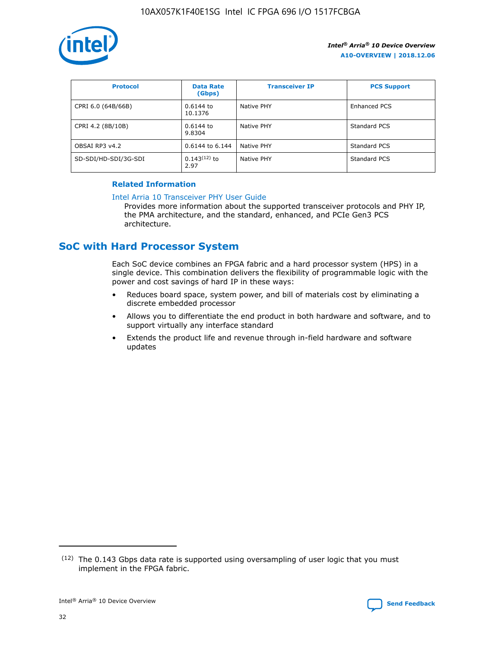

| <b>Protocol</b>      | <b>Data Rate</b><br>(Gbps) | <b>Transceiver IP</b> | <b>PCS Support</b> |
|----------------------|----------------------------|-----------------------|--------------------|
| CPRI 6.0 (64B/66B)   | 0.6144 to<br>10.1376       | Native PHY            | Enhanced PCS       |
| CPRI 4.2 (8B/10B)    | 0.6144 to<br>9.8304        | Native PHY            | Standard PCS       |
| OBSAI RP3 v4.2       | 0.6144 to 6.144            | Native PHY            | Standard PCS       |
| SD-SDI/HD-SDI/3G-SDI | $0.143(12)$ to<br>2.97     | Native PHY            | Standard PCS       |

# **Related Information**

#### [Intel Arria 10 Transceiver PHY User Guide](https://www.intel.com/content/www/us/en/programmable/documentation/nik1398707230472.html#nik1398707091164)

Provides more information about the supported transceiver protocols and PHY IP, the PMA architecture, and the standard, enhanced, and PCIe Gen3 PCS architecture.

# **SoC with Hard Processor System**

Each SoC device combines an FPGA fabric and a hard processor system (HPS) in a single device. This combination delivers the flexibility of programmable logic with the power and cost savings of hard IP in these ways:

- Reduces board space, system power, and bill of materials cost by eliminating a discrete embedded processor
- Allows you to differentiate the end product in both hardware and software, and to support virtually any interface standard
- Extends the product life and revenue through in-field hardware and software updates

<sup>(12)</sup> The 0.143 Gbps data rate is supported using oversampling of user logic that you must implement in the FPGA fabric.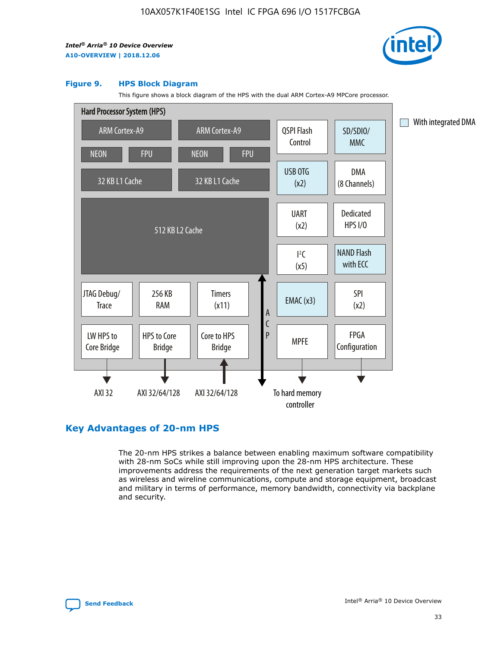

#### **Figure 9. HPS Block Diagram**

This figure shows a block diagram of the HPS with the dual ARM Cortex-A9 MPCore processor.



# **Key Advantages of 20-nm HPS**

The 20-nm HPS strikes a balance between enabling maximum software compatibility with 28-nm SoCs while still improving upon the 28-nm HPS architecture. These improvements address the requirements of the next generation target markets such as wireless and wireline communications, compute and storage equipment, broadcast and military in terms of performance, memory bandwidth, connectivity via backplane and security.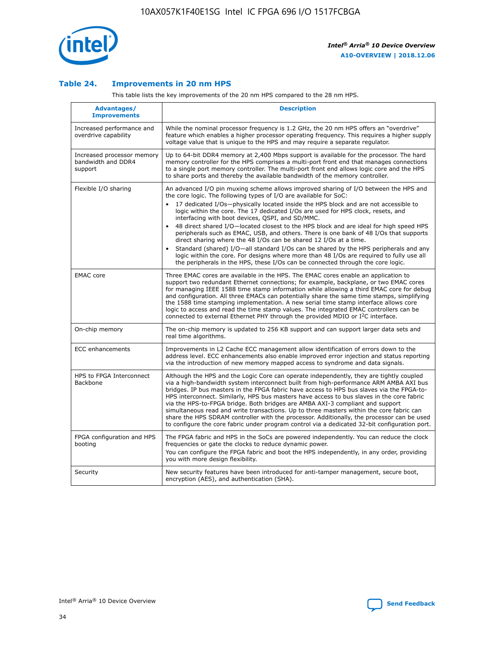

## **Table 24. Improvements in 20 nm HPS**

This table lists the key improvements of the 20 nm HPS compared to the 28 nm HPS.

| Advantages/<br><b>Improvements</b>                          | <b>Description</b>                                                                                                                                                                                                                                                                                                                                                                                                                                                                                                                                                                                                                                                                                                                                                                                                                                                                                                      |
|-------------------------------------------------------------|-------------------------------------------------------------------------------------------------------------------------------------------------------------------------------------------------------------------------------------------------------------------------------------------------------------------------------------------------------------------------------------------------------------------------------------------------------------------------------------------------------------------------------------------------------------------------------------------------------------------------------------------------------------------------------------------------------------------------------------------------------------------------------------------------------------------------------------------------------------------------------------------------------------------------|
| Increased performance and<br>overdrive capability           | While the nominal processor frequency is 1.2 GHz, the 20 nm HPS offers an "overdrive"<br>feature which enables a higher processor operating frequency. This requires a higher supply<br>voltage value that is unique to the HPS and may require a separate regulator.                                                                                                                                                                                                                                                                                                                                                                                                                                                                                                                                                                                                                                                   |
| Increased processor memory<br>bandwidth and DDR4<br>support | Up to 64-bit DDR4 memory at 2,400 Mbps support is available for the processor. The hard<br>memory controller for the HPS comprises a multi-port front end that manages connections<br>to a single port memory controller. The multi-port front end allows logic core and the HPS<br>to share ports and thereby the available bandwidth of the memory controller.                                                                                                                                                                                                                                                                                                                                                                                                                                                                                                                                                        |
| Flexible I/O sharing                                        | An advanced I/O pin muxing scheme allows improved sharing of I/O between the HPS and<br>the core logic. The following types of I/O are available for SoC:<br>17 dedicated I/Os-physically located inside the HPS block and are not accessible to<br>logic within the core. The 17 dedicated I/Os are used for HPS clock, resets, and<br>interfacing with boot devices, QSPI, and SD/MMC.<br>48 direct shared I/O-located closest to the HPS block and are ideal for high speed HPS<br>peripherals such as EMAC, USB, and others. There is one bank of 48 I/Os that supports<br>direct sharing where the 48 I/Os can be shared 12 I/Os at a time.<br>Standard (shared) I/O—all standard I/Os can be shared by the HPS peripherals and any<br>logic within the core. For designs where more than 48 I/Os are required to fully use all<br>the peripherals in the HPS, these I/Os can be connected through the core logic. |
| <b>EMAC</b> core                                            | Three EMAC cores are available in the HPS. The EMAC cores enable an application to<br>support two redundant Ethernet connections; for example, backplane, or two EMAC cores<br>for managing IEEE 1588 time stamp information while allowing a third EMAC core for debug<br>and configuration. All three EMACs can potentially share the same time stamps, simplifying<br>the 1588 time stamping implementation. A new serial time stamp interface allows core<br>logic to access and read the time stamp values. The integrated EMAC controllers can be<br>connected to external Ethernet PHY through the provided MDIO or I <sup>2</sup> C interface.                                                                                                                                                                                                                                                                  |
| On-chip memory                                              | The on-chip memory is updated to 256 KB support and can support larger data sets and<br>real time algorithms.                                                                                                                                                                                                                                                                                                                                                                                                                                                                                                                                                                                                                                                                                                                                                                                                           |
| <b>ECC</b> enhancements                                     | Improvements in L2 Cache ECC management allow identification of errors down to the<br>address level. ECC enhancements also enable improved error injection and status reporting<br>via the introduction of new memory mapped access to syndrome and data signals.                                                                                                                                                                                                                                                                                                                                                                                                                                                                                                                                                                                                                                                       |
| HPS to FPGA Interconnect<br><b>Backbone</b>                 | Although the HPS and the Logic Core can operate independently, they are tightly coupled<br>via a high-bandwidth system interconnect built from high-performance ARM AMBA AXI bus<br>bridges. IP bus masters in the FPGA fabric have access to HPS bus slaves via the FPGA-to-<br>HPS interconnect. Similarly, HPS bus masters have access to bus slaves in the core fabric<br>via the HPS-to-FPGA bridge. Both bridges are AMBA AXI-3 compliant and support<br>simultaneous read and write transactions. Up to three masters within the core fabric can<br>share the HPS SDRAM controller with the processor. Additionally, the processor can be used<br>to configure the core fabric under program control via a dedicated 32-bit configuration port.                                                                                                                                                                  |
| FPGA configuration and HPS<br>booting                       | The FPGA fabric and HPS in the SoCs are powered independently. You can reduce the clock<br>frequencies or gate the clocks to reduce dynamic power.<br>You can configure the FPGA fabric and boot the HPS independently, in any order, providing<br>you with more design flexibility.                                                                                                                                                                                                                                                                                                                                                                                                                                                                                                                                                                                                                                    |
| Security                                                    | New security features have been introduced for anti-tamper management, secure boot,<br>encryption (AES), and authentication (SHA).                                                                                                                                                                                                                                                                                                                                                                                                                                                                                                                                                                                                                                                                                                                                                                                      |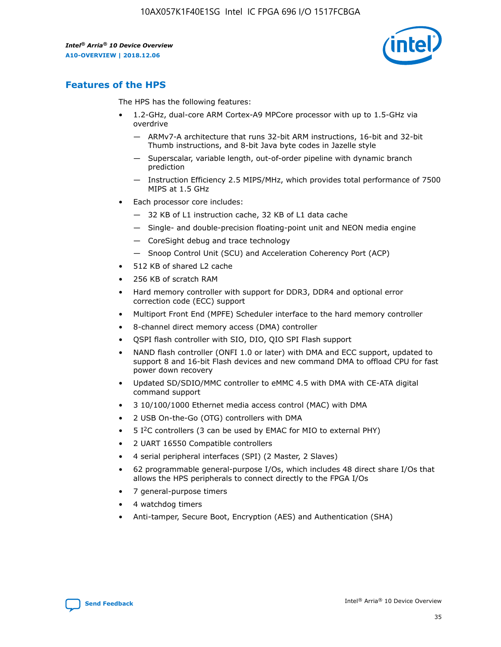

# **Features of the HPS**

The HPS has the following features:

- 1.2-GHz, dual-core ARM Cortex-A9 MPCore processor with up to 1.5-GHz via overdrive
	- ARMv7-A architecture that runs 32-bit ARM instructions, 16-bit and 32-bit Thumb instructions, and 8-bit Java byte codes in Jazelle style
	- Superscalar, variable length, out-of-order pipeline with dynamic branch prediction
	- Instruction Efficiency 2.5 MIPS/MHz, which provides total performance of 7500 MIPS at 1.5 GHz
- Each processor core includes:
	- 32 KB of L1 instruction cache, 32 KB of L1 data cache
	- Single- and double-precision floating-point unit and NEON media engine
	- CoreSight debug and trace technology
	- Snoop Control Unit (SCU) and Acceleration Coherency Port (ACP)
- 512 KB of shared L2 cache
- 256 KB of scratch RAM
- Hard memory controller with support for DDR3, DDR4 and optional error correction code (ECC) support
- Multiport Front End (MPFE) Scheduler interface to the hard memory controller
- 8-channel direct memory access (DMA) controller
- QSPI flash controller with SIO, DIO, QIO SPI Flash support
- NAND flash controller (ONFI 1.0 or later) with DMA and ECC support, updated to support 8 and 16-bit Flash devices and new command DMA to offload CPU for fast power down recovery
- Updated SD/SDIO/MMC controller to eMMC 4.5 with DMA with CE-ATA digital command support
- 3 10/100/1000 Ethernet media access control (MAC) with DMA
- 2 USB On-the-Go (OTG) controllers with DMA
- $\bullet$  5 I<sup>2</sup>C controllers (3 can be used by EMAC for MIO to external PHY)
- 2 UART 16550 Compatible controllers
- 4 serial peripheral interfaces (SPI) (2 Master, 2 Slaves)
- 62 programmable general-purpose I/Os, which includes 48 direct share I/Os that allows the HPS peripherals to connect directly to the FPGA I/Os
- 7 general-purpose timers
- 4 watchdog timers
- Anti-tamper, Secure Boot, Encryption (AES) and Authentication (SHA)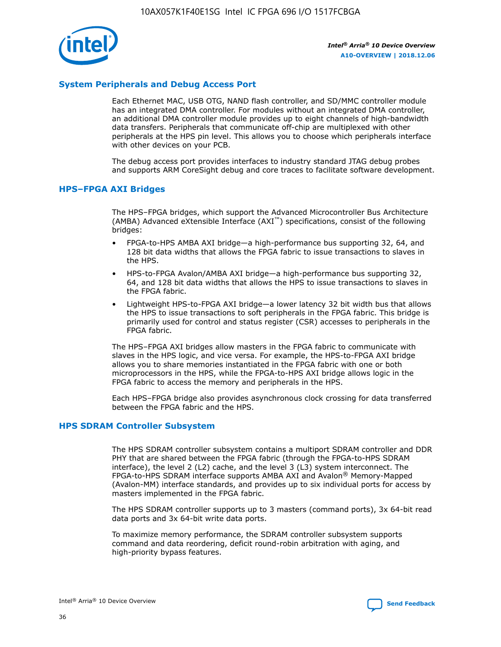

# **System Peripherals and Debug Access Port**

Each Ethernet MAC, USB OTG, NAND flash controller, and SD/MMC controller module has an integrated DMA controller. For modules without an integrated DMA controller, an additional DMA controller module provides up to eight channels of high-bandwidth data transfers. Peripherals that communicate off-chip are multiplexed with other peripherals at the HPS pin level. This allows you to choose which peripherals interface with other devices on your PCB.

The debug access port provides interfaces to industry standard JTAG debug probes and supports ARM CoreSight debug and core traces to facilitate software development.

## **HPS–FPGA AXI Bridges**

The HPS–FPGA bridges, which support the Advanced Microcontroller Bus Architecture (AMBA) Advanced eXtensible Interface (AXI™) specifications, consist of the following bridges:

- FPGA-to-HPS AMBA AXI bridge—a high-performance bus supporting 32, 64, and 128 bit data widths that allows the FPGA fabric to issue transactions to slaves in the HPS.
- HPS-to-FPGA Avalon/AMBA AXI bridge—a high-performance bus supporting 32, 64, and 128 bit data widths that allows the HPS to issue transactions to slaves in the FPGA fabric.
- Lightweight HPS-to-FPGA AXI bridge—a lower latency 32 bit width bus that allows the HPS to issue transactions to soft peripherals in the FPGA fabric. This bridge is primarily used for control and status register (CSR) accesses to peripherals in the FPGA fabric.

The HPS–FPGA AXI bridges allow masters in the FPGA fabric to communicate with slaves in the HPS logic, and vice versa. For example, the HPS-to-FPGA AXI bridge allows you to share memories instantiated in the FPGA fabric with one or both microprocessors in the HPS, while the FPGA-to-HPS AXI bridge allows logic in the FPGA fabric to access the memory and peripherals in the HPS.

Each HPS–FPGA bridge also provides asynchronous clock crossing for data transferred between the FPGA fabric and the HPS.

## **HPS SDRAM Controller Subsystem**

The HPS SDRAM controller subsystem contains a multiport SDRAM controller and DDR PHY that are shared between the FPGA fabric (through the FPGA-to-HPS SDRAM interface), the level 2 (L2) cache, and the level 3 (L3) system interconnect. The FPGA-to-HPS SDRAM interface supports AMBA AXI and Avalon® Memory-Mapped (Avalon-MM) interface standards, and provides up to six individual ports for access by masters implemented in the FPGA fabric.

The HPS SDRAM controller supports up to 3 masters (command ports), 3x 64-bit read data ports and 3x 64-bit write data ports.

To maximize memory performance, the SDRAM controller subsystem supports command and data reordering, deficit round-robin arbitration with aging, and high-priority bypass features.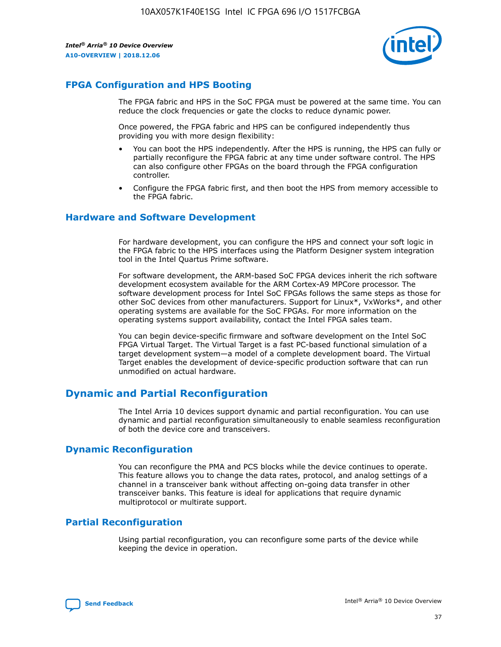

# **FPGA Configuration and HPS Booting**

The FPGA fabric and HPS in the SoC FPGA must be powered at the same time. You can reduce the clock frequencies or gate the clocks to reduce dynamic power.

Once powered, the FPGA fabric and HPS can be configured independently thus providing you with more design flexibility:

- You can boot the HPS independently. After the HPS is running, the HPS can fully or partially reconfigure the FPGA fabric at any time under software control. The HPS can also configure other FPGAs on the board through the FPGA configuration controller.
- Configure the FPGA fabric first, and then boot the HPS from memory accessible to the FPGA fabric.

## **Hardware and Software Development**

For hardware development, you can configure the HPS and connect your soft logic in the FPGA fabric to the HPS interfaces using the Platform Designer system integration tool in the Intel Quartus Prime software.

For software development, the ARM-based SoC FPGA devices inherit the rich software development ecosystem available for the ARM Cortex-A9 MPCore processor. The software development process for Intel SoC FPGAs follows the same steps as those for other SoC devices from other manufacturers. Support for Linux\*, VxWorks\*, and other operating systems are available for the SoC FPGAs. For more information on the operating systems support availability, contact the Intel FPGA sales team.

You can begin device-specific firmware and software development on the Intel SoC FPGA Virtual Target. The Virtual Target is a fast PC-based functional simulation of a target development system—a model of a complete development board. The Virtual Target enables the development of device-specific production software that can run unmodified on actual hardware.

# **Dynamic and Partial Reconfiguration**

The Intel Arria 10 devices support dynamic and partial reconfiguration. You can use dynamic and partial reconfiguration simultaneously to enable seamless reconfiguration of both the device core and transceivers.

# **Dynamic Reconfiguration**

You can reconfigure the PMA and PCS blocks while the device continues to operate. This feature allows you to change the data rates, protocol, and analog settings of a channel in a transceiver bank without affecting on-going data transfer in other transceiver banks. This feature is ideal for applications that require dynamic multiprotocol or multirate support.

# **Partial Reconfiguration**

Using partial reconfiguration, you can reconfigure some parts of the device while keeping the device in operation.

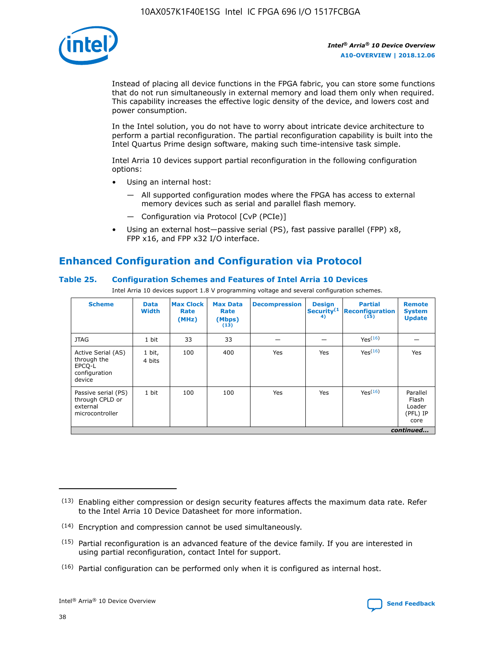

Instead of placing all device functions in the FPGA fabric, you can store some functions that do not run simultaneously in external memory and load them only when required. This capability increases the effective logic density of the device, and lowers cost and power consumption.

In the Intel solution, you do not have to worry about intricate device architecture to perform a partial reconfiguration. The partial reconfiguration capability is built into the Intel Quartus Prime design software, making such time-intensive task simple.

Intel Arria 10 devices support partial reconfiguration in the following configuration options:

- Using an internal host:
	- All supported configuration modes where the FPGA has access to external memory devices such as serial and parallel flash memory.
	- Configuration via Protocol [CvP (PCIe)]
- Using an external host—passive serial (PS), fast passive parallel (FPP) x8, FPP x16, and FPP x32 I/O interface.

# **Enhanced Configuration and Configuration via Protocol**

# **Table 25. Configuration Schemes and Features of Intel Arria 10 Devices**

Intel Arria 10 devices support 1.8 V programming voltage and several configuration schemes.

| <b>Scheme</b>                                                          | <b>Data</b><br><b>Width</b> | <b>Max Clock</b><br>Rate<br>(MHz) | <b>Max Data</b><br>Rate<br>(Mbps)<br>(13) | <b>Decompression</b> | <b>Design</b><br>Security <sup>(1</sup><br>4) | <b>Partial</b><br>Reconfiguration<br>(15) | <b>Remote</b><br><b>System</b><br><b>Update</b> |
|------------------------------------------------------------------------|-----------------------------|-----------------------------------|-------------------------------------------|----------------------|-----------------------------------------------|-------------------------------------------|-------------------------------------------------|
| <b>JTAG</b>                                                            | 1 bit                       | 33                                | 33                                        |                      |                                               | Yes <sup>(16)</sup>                       |                                                 |
| Active Serial (AS)<br>through the<br>EPCO-L<br>configuration<br>device | 1 bit,<br>4 bits            | 100                               | 400                                       | Yes                  | Yes                                           | $Y_{PS}(16)$                              | Yes                                             |
| Passive serial (PS)<br>through CPLD or<br>external<br>microcontroller  | 1 bit                       | 100                               | 100                                       | Yes                  | Yes                                           | Yes(16)                                   | Parallel<br>Flash<br>Loader<br>(PFL) IP<br>core |
|                                                                        |                             |                                   |                                           |                      |                                               |                                           | continued                                       |

<sup>(13)</sup> Enabling either compression or design security features affects the maximum data rate. Refer to the Intel Arria 10 Device Datasheet for more information.

<sup>(14)</sup> Encryption and compression cannot be used simultaneously.

 $(15)$  Partial reconfiguration is an advanced feature of the device family. If you are interested in using partial reconfiguration, contact Intel for support.

 $(16)$  Partial configuration can be performed only when it is configured as internal host.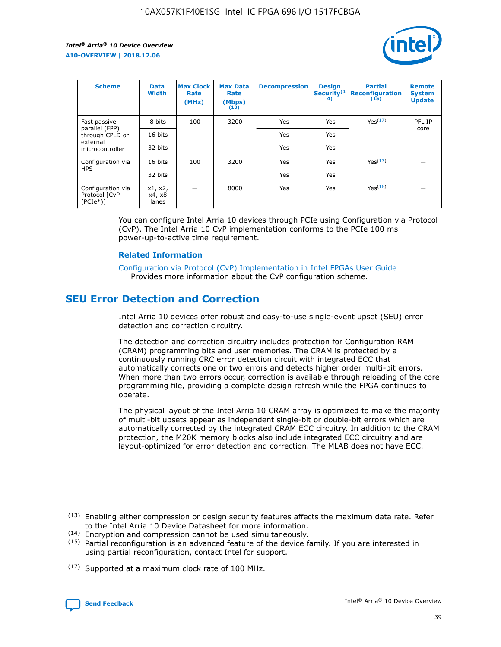

| <b>Scheme</b>                                    | <b>Data</b><br><b>Width</b> | <b>Max Clock</b><br>Rate<br>(MHz) | <b>Max Data</b><br>Rate<br>(Mbps)<br>(13) | <b>Decompression</b> | <b>Design</b><br>Security <sup>(1</sup><br>4) | <b>Partial</b><br><b>Reconfiguration</b><br>(15) | <b>Remote</b><br><b>System</b><br><b>Update</b> |
|--------------------------------------------------|-----------------------------|-----------------------------------|-------------------------------------------|----------------------|-----------------------------------------------|--------------------------------------------------|-------------------------------------------------|
| Fast passive                                     | 8 bits                      | 100                               | 3200                                      | Yes                  | Yes                                           | Yes(17)                                          | PFL IP                                          |
| parallel (FPP)<br>through CPLD or                | 16 bits                     |                                   |                                           | Yes                  | Yes                                           |                                                  | core                                            |
| external<br>microcontroller                      | 32 bits                     |                                   |                                           | Yes                  | Yes                                           |                                                  |                                                 |
| Configuration via                                | 16 bits                     | 100                               | 3200                                      | Yes                  | Yes                                           | Yes <sup>(17)</sup>                              |                                                 |
| <b>HPS</b>                                       | 32 bits                     |                                   |                                           | Yes                  | Yes                                           |                                                  |                                                 |
| Configuration via<br>Protocol [CvP<br>$(PCIe^*)$ | x1, x2,<br>x4, x8<br>lanes  |                                   | 8000                                      | Yes                  | Yes                                           | Yes(16)                                          |                                                 |

You can configure Intel Arria 10 devices through PCIe using Configuration via Protocol (CvP). The Intel Arria 10 CvP implementation conforms to the PCIe 100 ms power-up-to-active time requirement.

#### **Related Information**

[Configuration via Protocol \(CvP\) Implementation in Intel FPGAs User Guide](https://www.intel.com/content/www/us/en/programmable/documentation/dsu1441819344145.html#dsu1442269728522) Provides more information about the CvP configuration scheme.

# **SEU Error Detection and Correction**

Intel Arria 10 devices offer robust and easy-to-use single-event upset (SEU) error detection and correction circuitry.

The detection and correction circuitry includes protection for Configuration RAM (CRAM) programming bits and user memories. The CRAM is protected by a continuously running CRC error detection circuit with integrated ECC that automatically corrects one or two errors and detects higher order multi-bit errors. When more than two errors occur, correction is available through reloading of the core programming file, providing a complete design refresh while the FPGA continues to operate.

The physical layout of the Intel Arria 10 CRAM array is optimized to make the majority of multi-bit upsets appear as independent single-bit or double-bit errors which are automatically corrected by the integrated CRAM ECC circuitry. In addition to the CRAM protection, the M20K memory blocks also include integrated ECC circuitry and are layout-optimized for error detection and correction. The MLAB does not have ECC.

(14) Encryption and compression cannot be used simultaneously.

<sup>(17)</sup> Supported at a maximum clock rate of 100 MHz.



 $(13)$  Enabling either compression or design security features affects the maximum data rate. Refer to the Intel Arria 10 Device Datasheet for more information.

 $(15)$  Partial reconfiguration is an advanced feature of the device family. If you are interested in using partial reconfiguration, contact Intel for support.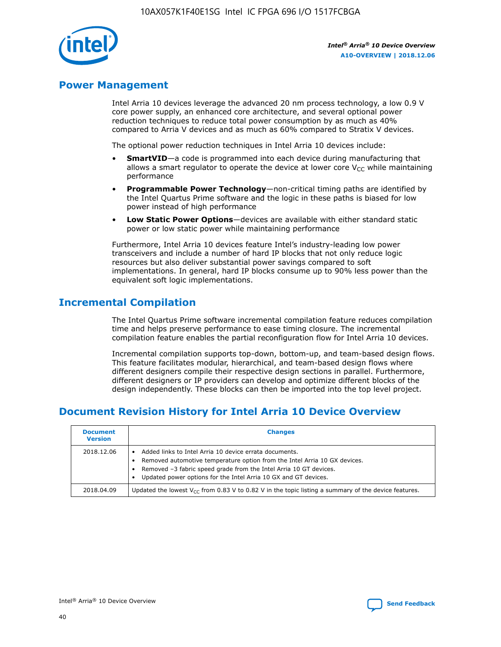

# **Power Management**

Intel Arria 10 devices leverage the advanced 20 nm process technology, a low 0.9 V core power supply, an enhanced core architecture, and several optional power reduction techniques to reduce total power consumption by as much as 40% compared to Arria V devices and as much as 60% compared to Stratix V devices.

The optional power reduction techniques in Intel Arria 10 devices include:

- **SmartVID**—a code is programmed into each device during manufacturing that allows a smart regulator to operate the device at lower core  $V_{CC}$  while maintaining performance
- **Programmable Power Technology**—non-critical timing paths are identified by the Intel Quartus Prime software and the logic in these paths is biased for low power instead of high performance
- **Low Static Power Options**—devices are available with either standard static power or low static power while maintaining performance

Furthermore, Intel Arria 10 devices feature Intel's industry-leading low power transceivers and include a number of hard IP blocks that not only reduce logic resources but also deliver substantial power savings compared to soft implementations. In general, hard IP blocks consume up to 90% less power than the equivalent soft logic implementations.

# **Incremental Compilation**

The Intel Quartus Prime software incremental compilation feature reduces compilation time and helps preserve performance to ease timing closure. The incremental compilation feature enables the partial reconfiguration flow for Intel Arria 10 devices.

Incremental compilation supports top-down, bottom-up, and team-based design flows. This feature facilitates modular, hierarchical, and team-based design flows where different designers compile their respective design sections in parallel. Furthermore, different designers or IP providers can develop and optimize different blocks of the design independently. These blocks can then be imported into the top level project.

# **Document Revision History for Intel Arria 10 Device Overview**

| <b>Document</b><br><b>Version</b> | <b>Changes</b>                                                                                                                                                                                                                                                              |
|-----------------------------------|-----------------------------------------------------------------------------------------------------------------------------------------------------------------------------------------------------------------------------------------------------------------------------|
| 2018.12.06                        | Added links to Intel Arria 10 device errata documents.<br>Removed automotive temperature option from the Intel Arria 10 GX devices.<br>Removed -3 fabric speed grade from the Intel Arria 10 GT devices.<br>Updated power options for the Intel Arria 10 GX and GT devices. |
| 2018.04.09                        | Updated the lowest $V_{CC}$ from 0.83 V to 0.82 V in the topic listing a summary of the device features.                                                                                                                                                                    |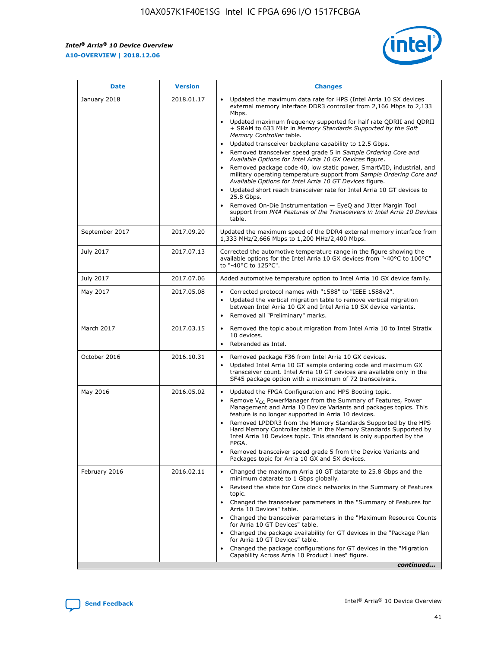$\mathsf{r}$ 



| January 2018<br>Updated the maximum data rate for HPS (Intel Arria 10 SX devices<br>2018.01.17<br>external memory interface DDR3 controller from 2,166 Mbps to 2,133<br>Mbps.<br>$\bullet$<br>+ SRAM to 633 MHz in Memory Standards Supported by the Soft<br>Memory Controller table.<br>Updated transceiver backplane capability to 12.5 Gbps.<br>$\bullet$<br>Removed transceiver speed grade 5 in Sample Ordering Core and<br>Available Options for Intel Arria 10 GX Devices figure.<br>Available Options for Intel Arria 10 GT Devices figure.<br>Updated short reach transceiver rate for Intel Arria 10 GT devices to<br>$\bullet$<br>25.8 Gbps.<br>Removed On-Die Instrumentation - EyeQ and Jitter Margin Tool<br>table.<br>2017.09.20<br>September 2017<br>1,333 MHz/2,666 Mbps to 1,200 MHz/2,400 Mbps.<br>July 2017<br>2017.07.13<br>Corrected the automotive temperature range in the figure showing the<br>available options for the Intel Arria 10 GX devices from "-40°C to 100°C"<br>to "-40°C to 125°C".<br>July 2017<br>2017.07.06<br>Added automotive temperature option to Intel Arria 10 GX device family.<br>2017.05.08<br>Corrected protocol names with "1588" to "IEEE 1588v2".<br>May 2017<br>$\bullet$<br>Updated the vertical migration table to remove vertical migration<br>$\bullet$<br>between Intel Arria 10 GX and Intel Arria 10 SX device variants.<br>Removed all "Preliminary" marks.<br>2017.03.15<br>March 2017<br>Removed the topic about migration from Intel Arria 10 to Intel Stratix<br>10 devices.<br>Rebranded as Intel.<br>$\bullet$<br>October 2016<br>2016.10.31<br>Removed package F36 from Intel Arria 10 GX devices.<br>$\bullet$<br>Updated Intel Arria 10 GT sample ordering code and maximum GX<br>$\bullet$<br>transceiver count. Intel Arria 10 GT devices are available only in the<br>SF45 package option with a maximum of 72 transceivers.<br>May 2016<br>2016.05.02<br>Updated the FPGA Configuration and HPS Booting topic.<br>Remove $V_{CC}$ PowerManager from the Summary of Features, Power<br>Management and Arria 10 Device Variants and packages topics. This<br>feature is no longer supported in Arria 10 devices.<br>Removed LPDDR3 from the Memory Standards Supported by the HPS<br>Hard Memory Controller table in the Memory Standards Supported by<br>Intel Arria 10 Devices topic. This standard is only supported by the<br>FPGA.<br>Removed transceiver speed grade 5 from the Device Variants and<br>Packages topic for Arria 10 GX and SX devices.<br>Changed the maximum Arria 10 GT datarate to 25.8 Gbps and the<br>February 2016<br>2016.02.11<br>minimum datarate to 1 Gbps globally.<br>Revised the state for Core clock networks in the Summary of Features<br>$\bullet$<br>topic.<br>• Changed the transceiver parameters in the "Summary of Features for<br>Arria 10 Devices" table.<br>for Arria 10 GT Devices" table.<br>• Changed the package availability for GT devices in the "Package Plan<br>for Arria 10 GT Devices" table.<br>Changed the package configurations for GT devices in the "Migration"<br>Capability Across Arria 10 Product Lines" figure. | <b>Date</b> | <b>Version</b> | <b>Changes</b>                                                                                                                                                                                                                                                                               |
|----------------------------------------------------------------------------------------------------------------------------------------------------------------------------------------------------------------------------------------------------------------------------------------------------------------------------------------------------------------------------------------------------------------------------------------------------------------------------------------------------------------------------------------------------------------------------------------------------------------------------------------------------------------------------------------------------------------------------------------------------------------------------------------------------------------------------------------------------------------------------------------------------------------------------------------------------------------------------------------------------------------------------------------------------------------------------------------------------------------------------------------------------------------------------------------------------------------------------------------------------------------------------------------------------------------------------------------------------------------------------------------------------------------------------------------------------------------------------------------------------------------------------------------------------------------------------------------------------------------------------------------------------------------------------------------------------------------------------------------------------------------------------------------------------------------------------------------------------------------------------------------------------------------------------------------------------------------------------------------------------------------------------------------------------------------------------------------------------------------------------------------------------------------------------------------------------------------------------------------------------------------------------------------------------------------------------------------------------------------------------------------------------------------------------------------------------------------------------------------------------------------------------------------------------------------------------------------------------------------------------------------------------------------------------------------------------------------------------------------------------------------------------------------------------------------------------------------------------------------------------------------------------------------------------------------------------------------------------------------------------------------------------------------------------------------------------------------------------------------------------------------------------------------|-------------|----------------|----------------------------------------------------------------------------------------------------------------------------------------------------------------------------------------------------------------------------------------------------------------------------------------------|
|                                                                                                                                                                                                                                                                                                                                                                                                                                                                                                                                                                                                                                                                                                                                                                                                                                                                                                                                                                                                                                                                                                                                                                                                                                                                                                                                                                                                                                                                                                                                                                                                                                                                                                                                                                                                                                                                                                                                                                                                                                                                                                                                                                                                                                                                                                                                                                                                                                                                                                                                                                                                                                                                                                                                                                                                                                                                                                                                                                                                                                                                                                                                                                |             |                | Updated maximum frequency supported for half rate QDRII and QDRII<br>Removed package code 40, low static power, SmartVID, industrial, and<br>military operating temperature support from Sample Ordering Core and<br>support from PMA Features of the Transceivers in Intel Arria 10 Devices |
|                                                                                                                                                                                                                                                                                                                                                                                                                                                                                                                                                                                                                                                                                                                                                                                                                                                                                                                                                                                                                                                                                                                                                                                                                                                                                                                                                                                                                                                                                                                                                                                                                                                                                                                                                                                                                                                                                                                                                                                                                                                                                                                                                                                                                                                                                                                                                                                                                                                                                                                                                                                                                                                                                                                                                                                                                                                                                                                                                                                                                                                                                                                                                                |             |                | Updated the maximum speed of the DDR4 external memory interface from                                                                                                                                                                                                                         |
|                                                                                                                                                                                                                                                                                                                                                                                                                                                                                                                                                                                                                                                                                                                                                                                                                                                                                                                                                                                                                                                                                                                                                                                                                                                                                                                                                                                                                                                                                                                                                                                                                                                                                                                                                                                                                                                                                                                                                                                                                                                                                                                                                                                                                                                                                                                                                                                                                                                                                                                                                                                                                                                                                                                                                                                                                                                                                                                                                                                                                                                                                                                                                                |             |                |                                                                                                                                                                                                                                                                                              |
|                                                                                                                                                                                                                                                                                                                                                                                                                                                                                                                                                                                                                                                                                                                                                                                                                                                                                                                                                                                                                                                                                                                                                                                                                                                                                                                                                                                                                                                                                                                                                                                                                                                                                                                                                                                                                                                                                                                                                                                                                                                                                                                                                                                                                                                                                                                                                                                                                                                                                                                                                                                                                                                                                                                                                                                                                                                                                                                                                                                                                                                                                                                                                                |             |                |                                                                                                                                                                                                                                                                                              |
|                                                                                                                                                                                                                                                                                                                                                                                                                                                                                                                                                                                                                                                                                                                                                                                                                                                                                                                                                                                                                                                                                                                                                                                                                                                                                                                                                                                                                                                                                                                                                                                                                                                                                                                                                                                                                                                                                                                                                                                                                                                                                                                                                                                                                                                                                                                                                                                                                                                                                                                                                                                                                                                                                                                                                                                                                                                                                                                                                                                                                                                                                                                                                                |             |                |                                                                                                                                                                                                                                                                                              |
|                                                                                                                                                                                                                                                                                                                                                                                                                                                                                                                                                                                                                                                                                                                                                                                                                                                                                                                                                                                                                                                                                                                                                                                                                                                                                                                                                                                                                                                                                                                                                                                                                                                                                                                                                                                                                                                                                                                                                                                                                                                                                                                                                                                                                                                                                                                                                                                                                                                                                                                                                                                                                                                                                                                                                                                                                                                                                                                                                                                                                                                                                                                                                                |             |                |                                                                                                                                                                                                                                                                                              |
|                                                                                                                                                                                                                                                                                                                                                                                                                                                                                                                                                                                                                                                                                                                                                                                                                                                                                                                                                                                                                                                                                                                                                                                                                                                                                                                                                                                                                                                                                                                                                                                                                                                                                                                                                                                                                                                                                                                                                                                                                                                                                                                                                                                                                                                                                                                                                                                                                                                                                                                                                                                                                                                                                                                                                                                                                                                                                                                                                                                                                                                                                                                                                                |             |                |                                                                                                                                                                                                                                                                                              |
|                                                                                                                                                                                                                                                                                                                                                                                                                                                                                                                                                                                                                                                                                                                                                                                                                                                                                                                                                                                                                                                                                                                                                                                                                                                                                                                                                                                                                                                                                                                                                                                                                                                                                                                                                                                                                                                                                                                                                                                                                                                                                                                                                                                                                                                                                                                                                                                                                                                                                                                                                                                                                                                                                                                                                                                                                                                                                                                                                                                                                                                                                                                                                                |             |                |                                                                                                                                                                                                                                                                                              |
|                                                                                                                                                                                                                                                                                                                                                                                                                                                                                                                                                                                                                                                                                                                                                                                                                                                                                                                                                                                                                                                                                                                                                                                                                                                                                                                                                                                                                                                                                                                                                                                                                                                                                                                                                                                                                                                                                                                                                                                                                                                                                                                                                                                                                                                                                                                                                                                                                                                                                                                                                                                                                                                                                                                                                                                                                                                                                                                                                                                                                                                                                                                                                                |             |                | Changed the transceiver parameters in the "Maximum Resource Counts"<br>continued                                                                                                                                                                                                             |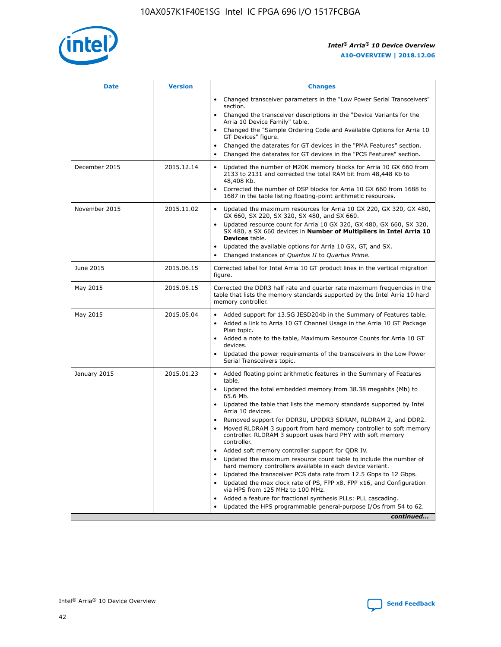

| <b>Date</b>   | <b>Version</b> | <b>Changes</b>                                                                                                                                                               |
|---------------|----------------|------------------------------------------------------------------------------------------------------------------------------------------------------------------------------|
|               |                | • Changed transceiver parameters in the "Low Power Serial Transceivers"<br>section.                                                                                          |
|               |                | • Changed the transceiver descriptions in the "Device Variants for the<br>Arria 10 Device Family" table.                                                                     |
|               |                | Changed the "Sample Ordering Code and Available Options for Arria 10<br>$\bullet$<br>GT Devices" figure.                                                                     |
|               |                | Changed the datarates for GT devices in the "PMA Features" section.                                                                                                          |
|               |                | Changed the datarates for GT devices in the "PCS Features" section.<br>$\bullet$                                                                                             |
| December 2015 | 2015.12.14     | Updated the number of M20K memory blocks for Arria 10 GX 660 from<br>2133 to 2131 and corrected the total RAM bit from 48,448 Kb to<br>48,408 Kb.                            |
|               |                | Corrected the number of DSP blocks for Arria 10 GX 660 from 1688 to<br>1687 in the table listing floating-point arithmetic resources.                                        |
| November 2015 | 2015.11.02     | Updated the maximum resources for Arria 10 GX 220, GX 320, GX 480,<br>$\bullet$<br>GX 660, SX 220, SX 320, SX 480, and SX 660.                                               |
|               |                | • Updated resource count for Arria 10 GX 320, GX 480, GX 660, SX 320,<br>SX 480, a SX 660 devices in Number of Multipliers in Intel Arria 10<br><b>Devices</b> table.        |
|               |                | Updated the available options for Arria 10 GX, GT, and SX.                                                                                                                   |
|               |                | Changed instances of Quartus II to Quartus Prime.<br>$\bullet$                                                                                                               |
| June 2015     | 2015.06.15     | Corrected label for Intel Arria 10 GT product lines in the vertical migration<br>figure.                                                                                     |
| May 2015      | 2015.05.15     | Corrected the DDR3 half rate and quarter rate maximum frequencies in the<br>table that lists the memory standards supported by the Intel Arria 10 hard<br>memory controller. |
| May 2015      | 2015.05.04     | • Added support for 13.5G JESD204b in the Summary of Features table.                                                                                                         |
|               |                | • Added a link to Arria 10 GT Channel Usage in the Arria 10 GT Package<br>Plan topic.                                                                                        |
|               |                | • Added a note to the table, Maximum Resource Counts for Arria 10 GT<br>devices.                                                                                             |
|               |                | • Updated the power requirements of the transceivers in the Low Power<br>Serial Transceivers topic.                                                                          |
| January 2015  | 2015.01.23     | • Added floating point arithmetic features in the Summary of Features<br>table.                                                                                              |
|               |                | • Updated the total embedded memory from 38.38 megabits (Mb) to<br>65.6 Mb.                                                                                                  |
|               |                | • Updated the table that lists the memory standards supported by Intel<br>Arria 10 devices.                                                                                  |
|               |                | Removed support for DDR3U, LPDDR3 SDRAM, RLDRAM 2, and DDR2.                                                                                                                 |
|               |                | Moved RLDRAM 3 support from hard memory controller to soft memory<br>controller. RLDRAM 3 support uses hard PHY with soft memory<br>controller.                              |
|               |                | Added soft memory controller support for QDR IV.<br>٠                                                                                                                        |
|               |                | Updated the maximum resource count table to include the number of<br>hard memory controllers available in each device variant.                                               |
|               |                | Updated the transceiver PCS data rate from 12.5 Gbps to 12 Gbps.<br>$\bullet$                                                                                                |
|               |                | Updated the max clock rate of PS, FPP x8, FPP x16, and Configuration<br>via HPS from 125 MHz to 100 MHz.                                                                     |
|               |                | Added a feature for fractional synthesis PLLs: PLL cascading.                                                                                                                |
|               |                | Updated the HPS programmable general-purpose I/Os from 54 to 62.<br>$\bullet$                                                                                                |
|               |                | continued                                                                                                                                                                    |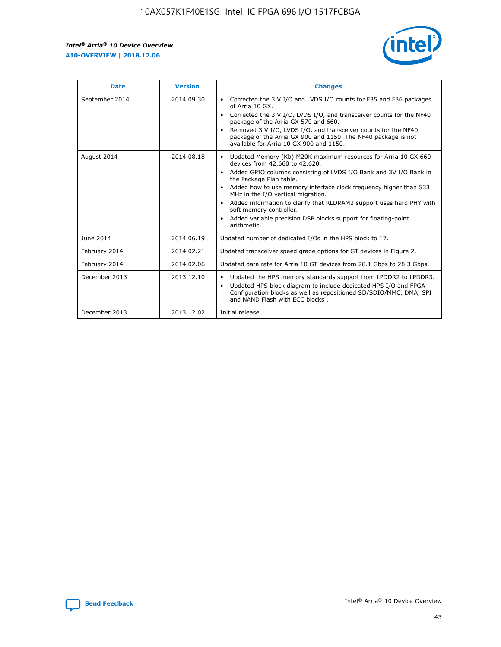r



| <b>Date</b>    | <b>Version</b> | <b>Changes</b>                                                                                                                                                                                                                                                                                                                                                                                                                                                                                                                                      |
|----------------|----------------|-----------------------------------------------------------------------------------------------------------------------------------------------------------------------------------------------------------------------------------------------------------------------------------------------------------------------------------------------------------------------------------------------------------------------------------------------------------------------------------------------------------------------------------------------------|
| September 2014 | 2014.09.30     | Corrected the 3 V I/O and LVDS I/O counts for F35 and F36 packages<br>$\bullet$<br>of Arria 10 GX.<br>Corrected the 3 V I/O, LVDS I/O, and transceiver counts for the NF40<br>$\bullet$<br>package of the Arria GX 570 and 660.<br>Removed 3 V I/O, LVDS I/O, and transceiver counts for the NF40<br>package of the Arria GX 900 and 1150. The NF40 package is not<br>available for Arria 10 GX 900 and 1150.                                                                                                                                       |
| August 2014    | 2014.08.18     | Updated Memory (Kb) M20K maximum resources for Arria 10 GX 660<br>devices from 42,660 to 42,620.<br>Added GPIO columns consisting of LVDS I/O Bank and 3V I/O Bank in<br>$\bullet$<br>the Package Plan table.<br>Added how to use memory interface clock frequency higher than 533<br>$\bullet$<br>MHz in the I/O vertical migration.<br>Added information to clarify that RLDRAM3 support uses hard PHY with<br>$\bullet$<br>soft memory controller.<br>Added variable precision DSP blocks support for floating-point<br>$\bullet$<br>arithmetic. |
| June 2014      | 2014.06.19     | Updated number of dedicated I/Os in the HPS block to 17.                                                                                                                                                                                                                                                                                                                                                                                                                                                                                            |
| February 2014  | 2014.02.21     | Updated transceiver speed grade options for GT devices in Figure 2.                                                                                                                                                                                                                                                                                                                                                                                                                                                                                 |
| February 2014  | 2014.02.06     | Updated data rate for Arria 10 GT devices from 28.1 Gbps to 28.3 Gbps.                                                                                                                                                                                                                                                                                                                                                                                                                                                                              |
| December 2013  | 2013.12.10     | Updated the HPS memory standards support from LPDDR2 to LPDDR3.<br>Updated HPS block diagram to include dedicated HPS I/O and FPGA<br>$\bullet$<br>Configuration blocks as well as repositioned SD/SDIO/MMC, DMA, SPI<br>and NAND Flash with ECC blocks.                                                                                                                                                                                                                                                                                            |
| December 2013  | 2013.12.02     | Initial release.                                                                                                                                                                                                                                                                                                                                                                                                                                                                                                                                    |